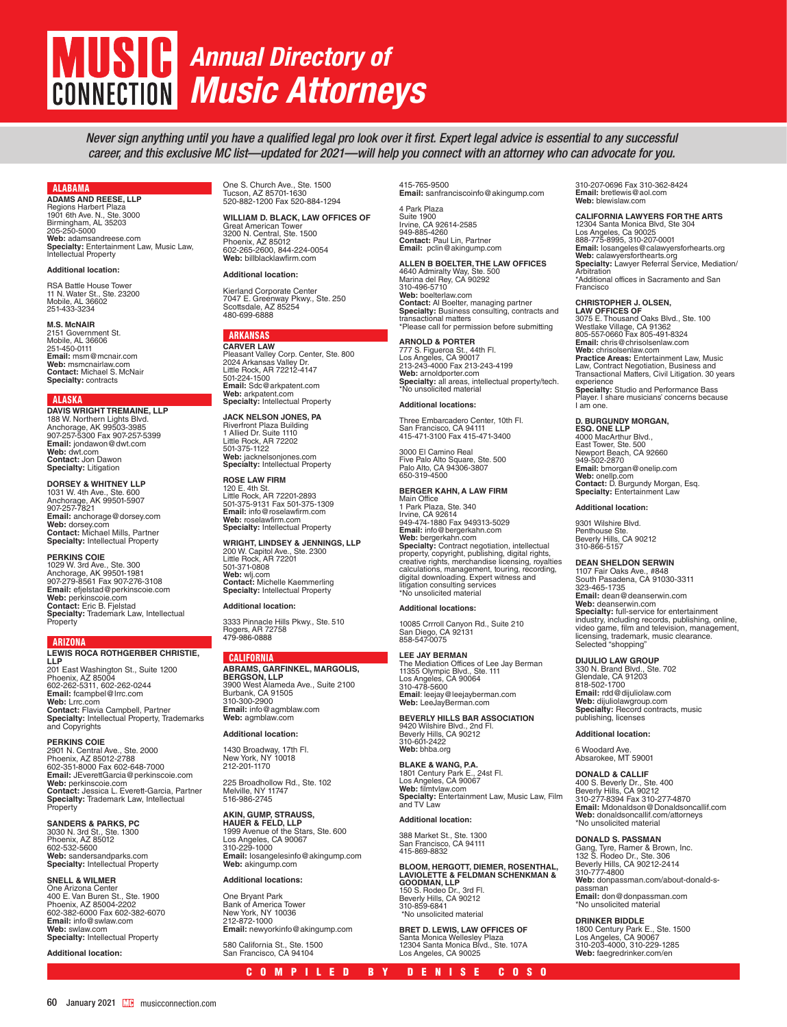# **MUSIC** *Annual Directory of Music Attorneys* **CONNECTION**

*Never sign anything until you have a qualified legal pro look over it first. Expert legal advice is essential to any successful career, and this exclusive MC list—updated for 2021—will help you connect with an attorney who can advocate for you.* 

#### ALABAMA

**ADAMS AND REESE, LLP** Regions Harbert Plaza 1901 6th Ave. N., Ste. 3000 Birmingham, AL 35203 205-250-5000 **Web:** adamsandreese.com **Specialty:** Entertainment Law, Music Law, Intellectual Property

#### **Additional location:**

**RSA Battle House Tower** 11 N. Water St., Ste. 23200 Mobile, AL 36602 251-433-3234

#### **M.S. McNAIR**

2151 Government St. Mobile, AL 36606 251-450-0111 **Email:** msm@mcnair.com **Web:** msmcnairlaw.com **Contact:** Michael S. McNair **Specialty:** contracts

#### ALASKA

**DAVIS WRIGHT TREMAINE, LLP** 188 W. Northern Lights Blvd. Anchorage, AK 99503-3985 907-257-5300 Fax 907-257-5399 **Email:** jondawon@dwt.com **Web:** dwt.com **Contact:** Jon Dawon **Specialty:** Litigation

**DORSEY & WHITNEY LLP**<br>1031 W. 4th Ave., Ste. 600<br>Anchorage, AK 99501-5907<br>907-257-7821 **Email:** anchorage@dorsey.com **Web:** dorsey.com **Contact:** Michael Mills, Partner **Specialty:** Intellectual Property

**PERKINS COIE**<br>1029 W. 3rd Ave., Ste. 300<br>Anchorage, AK 99501-1981<br>907-279-8561 Fax 907-276-3108 **Email:** efjelstad@perkinscoie.com **Web:** perkinscoie.com **Contact:** Eric B. Fjelstad **Specialty:** Trademark Law, Intellectual Property

ARIZONA **LEWIS ROCA ROTHGERBER CHRISTIE, LLP** 201 East Washington St., Suite 1200 Phoenix, AZ 85004 602-262-5311, 602-262-0244 **Email:** fcampbel@lrrc.com **Web:** Lrrc.com

**Contact:** Flavia Campbell, Partner **Specialty:** Intellectual Property, Trademarks and Copyrights

**PERKINS COIE** 2901 N. Central Ave., Ste. 2000 Phoenix, AZ 85012-2788 602-351-8000 Fax 602-648-7000 **Email:** JEverettGarcia@perkinscoie.com **Web:** perkinscoie.com **Contact:** Jessica L. Everett-Garcia, Partner **Specialty:** Trademark Law, Intellectual Property

**SANDERS & PARKS, PC** 3030 N. 3rd St., Ste. 1300 Phoenix, AZ 85012 602-532-5600 **Web:** sandersandparks.com

**Specialty:** Intellectual Property

#### **SNELL & WILMER** One Arizona Center

400 E. Van Buren St., Ste. 1900 Phoenix, AZ 85004-2202 602-382-6000 Fax 602-382-6070 **Email:** info@swlaw.com **Web:** swlaw.com **Specialty:** Intellectual Property

**Additional location:**

One S. Church Ave., Ste. 1500 Tucson, AZ 85701-1630 520-882-1200 Fax 520-884-1294

**WILLIAM D. BLACK, LAW OFFICES OF**  Great American Tower 3200 N. Central, Ste. 1500 Phoenix, AZ 85012 602-265-2600, 844-224-0054 **Web:** billblacklawfirm.com

#### **Additional location:**

Kierland Corporate Center 7047 E. Greenway Pkwy., Ste. 250 Scottsdale, AZ 85254 480-699-6888

### ARKANSAS

**CARVER LAW** Pleasant Valley Corp. Center, Ste. 800 2024 Arkansas Valley Dr. Little Rock, AR 72212-4147 501-224-1500 **Email:** Sdc@arkpatent.com **Web:** arkpatent.com **Specialty:** Intellectual Property

**JACK NELSON JONES, PA** Riverfront Plaza Building 1 Allied Dr. Suite 1110 Little Rock, AR 72202 501-375-1122 **Web:** jacknelsonjones.com **Specialty:** Intellectual Property

**ROSE LAW FIRM** 120 E. 4th St. Little Rock, AR 72201-2893 501-375-9131 Fax 501-375-1309 **Email:** info@roselawfirm.com **Web:** roselawfirm.com **Specialty:** Intellectual Property

**WRIGHT, LINDSEY & JENNINGS, LLP** 200 W. Capitol Ave., Ste. 2300 Little Rock, AR 72201 501-371-0808 **Web:** wlj.com **Contact:** Michelle Kaemmerling **Specialty:** Intellectual Property

#### **Additional location:**

3333 Pinnacle Hills Pkwy., Ste. 510 Rogers, AR 72758 479-986-0888

#### CALIFORNIA

**ABRAMS, GARFINKEL, MARGOLIS, BERGSON, LLP** 3900 West Alameda Ave., Suite 2100 Burbank, CA 91505 310-300-2900 **Email:** info@agmblaw.com **Web:** agmblaw.com

#### **Additional location:**

1430 Broadway, 17th Fl. New York, NY 10018 212-201-1170

225 Broadhollow Rd., Ste. 102 Melville, NY 11747 516-986-2745

### **AKIN, GUMP, STRAUSS,**

**HAUER & FELD, LLP** 1999 Avenue of the Stars, Ste. 600 Los Angeles, CA 90067 310-229-1000 **Email:** losangelesinfo@akingump.com **Web:** akingump.com

#### **Additional locations:**

One Bryant Park Bank of America Tower New York, NY 10036 212-872-1000 **Email:** newyorkinfo@akingump.com

580 California St., Ste. 1500 San Francisco, CA 94104

415-765-9500 **Email:** sanfranciscoinfo@akingump.com

4 Park Plaza Suite 1900 Irvine, CA 92614-2585 949-885-4260 **Contact:** Paul Lin, Partner **Email:** pclin@akingump.com

**ALLEN B BOELTER, THE LAW OFFICES** 4640 Admiralty Way, Ste. 500 Marina del Rey, CA 90292 310-496-5710 **Web:** boelterlaw.com **Contact:** Al Boelter, managing partner **Specialty:** Business consulting, contracts and transactional matters \*Please call for permission before submitting

**ARNOLD & PORTER Specialty:** all areas, intellectual property/tech. \*No unsolicited material

#### **Additional locations:**

Three Embarcadero Center, 10th Fl. San Francisco, CA 94111 415-471-3100 Fax 415-471-3400

#### **BERGER KAHN, A LAW FIRM**

**Specialty:** Contract negotiation, intellectual<br>property, copyright, publishing, digital rights,<br>creative rights, merchandise licensing, royalties

The Mediation Offices of Lee Jay Berman 11355 Olympic Blvd., Ste. 111 Los Angeles, CA 90064 310-478-5600

**BEVERLY HILLS BAR ASSOCIATION<br>9420 Wilshire Blvd., 2nd Fl.<br>Beverly Hills, CA 90212<br>310-601-2422** 

**BLAKE & WANG, P.A.** 1801 Century Park E., 24st Fl. Los Angeles, CA 90067 **Web:** filmtvlaw.com **Specialty:** Entertainment Law, Music Law, Film and TV Law

COMPILED BY DENISE COSO

**BLOOM, HERGOTT, DIEMER, ROSENTHAL,<br>LAVIOLETTE & FELDMAN SCHENKMAN &<br>GOODMAN, LLP<br>150 S. Rodeo Dr., 3rd Fl.<br>Beverly Hills, CA 90212<br>310-859-6841** \*No unsolicited material

**BRET D. LEWIS, LAW OFFICES OF** Santa Monica Wellesley Plaza 12304 Santa Monica Blvd., Ste. 107A Los Angeles, CA 90025

310-207-0696 Fax 310-362-8424 **Email:** bretlewis@aol.com **Web:** blewislaw.com

### **CALIFORNIA LAWYERS FOR THE ARTS**

12304 Santa Monica Blvd, Ste 304 Los Angeles, Ca 90025 888-775-8995, 310-207-0001 **Email:** losangeles@calawyersforhearts.org **Web:** calawyersforthearts.org **Specialty:** Lawyer Referral Service, Mediation/ **Arbitration** \*Additional offices in Sacramento and San **Francisco** 

#### **CHRISTOPHER J. OLSEN,**

**LAW OFFICES OF**  3075 E. Thousand Oaks Blvd., Ste. 100 Westlake Village, CA 91362 805-557-0660 Fax 805-491-8324 **Email:** chris@chrisolsenlaw.com **Web:** chrisolsenlaw.com **Practice Areas:** Entertainment Law, Music<br>Law, Contract Negotiation, Business and<br>Transactional Matters, Civil Litigation. 30 years experience **Specialty:** Studio and Performance Bass Player. I share musicians' concerns because I am one.

**D. BURGUNDY MORGAN,<br><b>ESQ. ONE LLP**<br>4000 MacArthur Blvd., East Tower, Ste. 500 Newport Beach, CA 92660 949-502-2870 **Email:** bmorgan@onelip.com **Web:** onellp.com **Contact:** D. Burgundy Morgan, Esq. **Specialty:** Entertainment Law

#### **Additional location:**

9301 Wilshire Blvd. Penthouse Ste. Beverly Hills, CA 90212 310-866-5157

**DEAN SHELDON SERWIN**<br>1107 Fair Oaks Ave., #848<br>South Pasadena, CA 91030-3311 323-465-1735 **Email:** dean@deanserwin.com **Web:** deanserwin.com **Specialty:** full-service for entertainment<br>industry, including records, publishing, online,<br>video game, film and television, management, licensing, trademark, music clearance. Selected "shopping"

#### **DIJULIO LAW GROUP**

330 N. Brand Blvd., Ste. 702 Glendale, CA 91203 818-502-1700 **Email:** rdd@dijuliolaw.com **Web:** dijuliolawgroup.com **Specialty:** Record contracts, music publishing, licenses

#### **Additional location:**

6 Woodard Ave. Absarokee, MT 59001

### **DONALD & CALLIF**

400 S. Beverly Dr., Ste. 400 Beverly Hills, CA 90212 310-277-8394 Fax 310-277-4870 **Email:** Mdonaldson@Donaldsoncallif.com **Web:** donaldsoncallif.com/attorneys \*No unsolicited material

#### **DONALD S. PASSMAN**

Gang, Tyre, Ramer & Brown, Inc.<br>132 S. Rodeo Dr., Ste. 306<br>Beverly Hills, CA 90212-2414<br>310-777-4800<br>**Web:** donpassman.com/about-donald-spassman **Email:** don@donpassman.com \*No unsolicited material

### **DRINKER BIDDLE**

1800 Century Park E., Ste. 1500 Los Angeles, CA 90067 310-203-4000, 310-229-1285 **Web:** faegredrinker.com/en

# 777 S. Figueroa St., 44th Fl. Los Angeles, CA 90017 213-243-4000 Fax 213-243-4199 **Web:** arnoldporter.com

3000 El Camino Real Five Palo Alto Square, Ste. 500 Palo Alto, CA 94306-3807 650-319-4500

Main Office 1 Park Plaza, Ste. 340 Irvine, CA 92614 949-474-1880 Fax 949313-5029 **Email:** info@bergerkahn.com **Web:** bergerkahn.com calculations, management, touring, recording, digital downloading. Expert witness and litigation consulting services \*No unsolicited material

#### **Additional locations:**

10085 Crrroll Canyon Rd., Suite 210 San Diego, CA 92131 858-547-0075

**LEE JAY BERMAN Email**: leejay@leejayberman.com **Web:** LeeJayBerman.com

**Web:** bhba.org

**Additional location:**

388 Market St., Ste. 1300 San Francisco, CA 94111 415-869-8832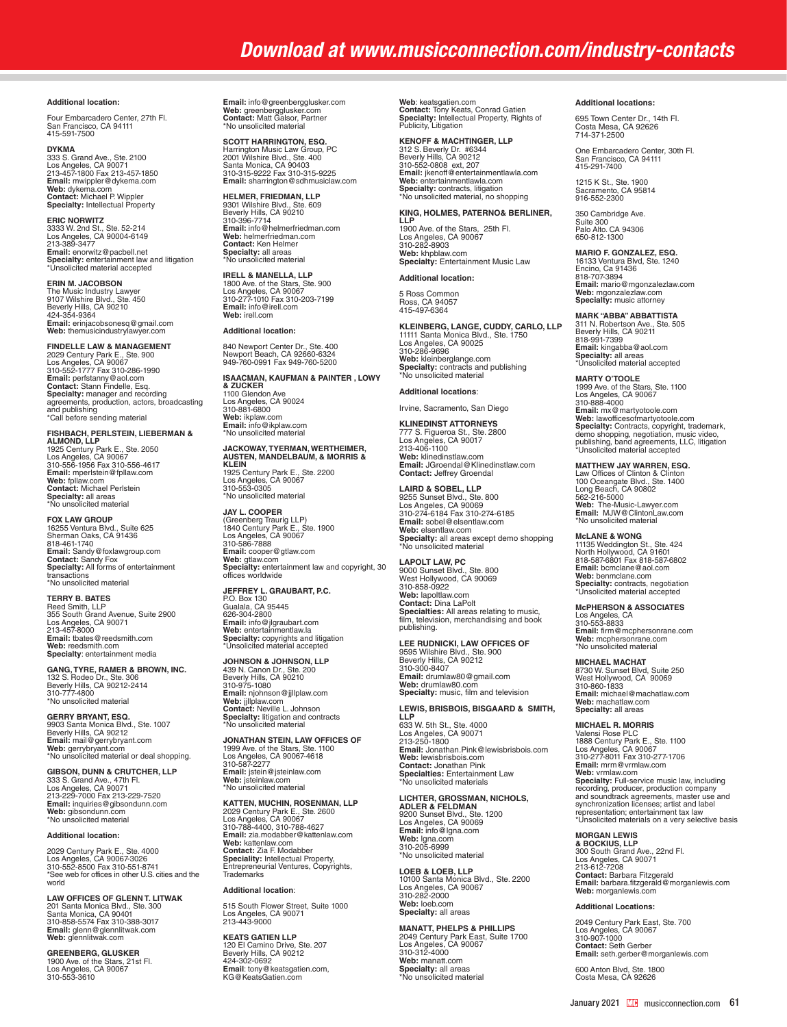#### **Additional location:**

Four Embarcadero Center, 27th Fl. San Francisco, CA 94111 415-591-7500

DYKMA<br>333 S. Grand Ave., Ste. 2100<br>Los Angeles, CA 90071<br>213-457-1800 Fax 213-457-1850<br>Email: mwippler@dykema.com<br>Web: dykema.com<br>Contact: Michael P. Wippler<br>Specialty: Intellectual Property

**ERIC NORWITZ<br>3333 W. 2nd St., Ste. 52-214<br>Los Angeles, CA 90004-6149<br>213-389-3477 Email:** enorwitz@pacbell.net **Specialty:** entertainment law and litigation \*Unsolicited material accepted

#### **ERIN M. JACOBSON**

The Music Industry Lawyer<br>9107 Wilshire Blvd., Ste. 450<br>Beverly Hills, CA 90210<br>424-354-9364<br>**Email:** erinjacobsonesq@gmail.com **Web:** themusicindustrylawyer.com

#### **FINDELLE LAW & MANAGEMENT**

2029 Century Park E., Ste. 900 Los Angeles, CA 90067 310-552-1777 Fax 310-286-1990 **Email:** perfstanny@aol.com<br>**Contact:** Stann Findelle, Esq.<br>**Specialty**: manager and recording<br>agreements, production, actors, broadcasting<br>"Call before sending material

#### **FISHBACH, PERLSTEIN, LIEBERMAN &**

**ALMOND, LLP**<br>1925 Century Park E., Ste. 2050<br>Los Angeles, CA 90067<br>310-556-1956 Fax 310-556-4617<br>**Email:** mperlstein@fpllaw.com **Web:** fpllaw.com **Contact:** Michael Perlstein **Specialty:** all areas \*No unsolicited material

### **FOX LAW GROUP**

16255 Ventura Blvd., Suite 625 Sherman Oaks, CA 91436 818-461-1740 **Email:** Sandy@foxlawgroup.com **Contact:** Sandy Fox **Specialty:** All forms of entertainment transactions \*No unsolicited material

#### **TERRY B. BATES**

Reed Smith, LLP<br>355 South Grand Avenue, Suite 2900<br>Los Angeles, CA 90071<br>213-457-8000<br>**Email:** tbates@reedsmith.com **Web:** reedsmith.com **Specialty**: entertainment media

**GANG, TYRE, RAMER & BROWN, INC.<br>132 S. Rodeo Dr., Ste. 306<br>Beverly Hills, CA 90212-2414<br>310-777-4800** \*No unsolicited material

**GERRY BRYANT, ESQ.** 9903 Santa Monica Blvd., Ste. 1007 Beverly Hills, CA 90212 **Email:** mail@gerrybryant.com **Web:** gerrybryant.com \*No unsolicited material or deal shopping.

**GIBSON, DUNN & CRUTCHER, LLP** 333 S. Grand Ave., 47th Fl. Los Angeles, CA 90071 213-229-7000 Fax 213-229-7520 **Email:** inquiries@gibsondunn.com **Web:** gibsondunn.com \*No unsolicited material

#### **Additional location:**

2029 Century Park E., Ste. 4000 Los Angeles, CA 90067-3026 310-552-8500 Fax 310-551-8741 \*See web for offices in other U.S. cities and the world

**LAW OFFICES OF GLENN T. LITWAK** 201 Santa Monica Blvd., Ste. 300 Santa Monica, CA 90401 310-858-5574 Fax 310-388-3017 **Email:** glenn@glennlitwak.com **Web:** glennlitwak.com

**GREENBERG, GLUSKER** 1900 Ave. of the Stars, 21st Fl. Los Angeles, CA 90067 310-553-3610 **Email:** info@greenbergglusker.com **Web:** greenbergglusker.com **Contact:** Matt Galsor, Partner \*No unsolicited material

## **SCOTT HARRINGTON, ESQ.**

Harrington Music Law Group, PC 2001 Wilshire Blvd., Ste. 400 Santa Monica, CA 90403 310-315-9222 Fax 310-315-9225 **Email:** sharrington@sdhmusiclaw.com **HELMER, FRIEDMAN, LLP** 

9301 Wilshire Blvd., Ste. 609 Beverly Hills, CA 90210 310-396-7714 **Email:** info@helmerfriedman.com **Web:** helmerfriedman.com **Contact:** Ken Helmer **Specialty:** all areas \*No unsolicited material

**IRELL & MANELLA, LLP** 1800 Ave. of the Stars, Ste. 900 Los Angeles, CA 90067 310-277-1010 Fax 310-203-7199 **Email:** info@irell.com **Web:** irell.com

**Additional location:** 

# 840 Newport Center Dr., Ste. 400 Newport Beach, CA 92660-6324 949-760-0991 Fax 949-760-5200

**ISAACMAN, KAUFMAN & PAINTER , LOWY** 

**& ZUCKER** 1100 Glendon Ave Los Angeles, CA 90024 310-881-6800 **Web:** ikplaw.com **Email:** info@ikplaw.com \*No unsolicited material

# **JACKOWAY, TYERMAN, WERTHEIMER, AUSTEN, MANDELBAUM, & MORRIS &**

**KLEIN**<br>1925 Century Park E., Ste. 2200<br>Los Angeles, CA 90067<br>310-553-0305 \*No unsolicited material

**JAY L. COOPER** (Greenberg Traurig LLP) 1840 Century Park E., Ste. 1900 Los Angeles, CA 90067 310-586-7888 **Email:** cooper@gtlaw.com Web: gtlaw.com **Specialty:** entertainment law and copyright, 30 offices worldwide

**JEFFREY L. GRAUBART, P.C.**<br>P.O. Box 130<br>Gualala, CA 95445<br>626-304-2800 **Email:** info@jlgraubart.com **Web:** entertainmentlaw.la **Specialty:** copyrights and litigation \*Unsolicited material accepted

**JOHNSON & JOHNSON, LLP**  439 N. Canon Dr., Ste. 200 Beverly Hills, CA 90210 310-975-1080 **Email:** njohnson@jjllplaw.com **Web:** jjllplaw.com **Contact:** Neville L. Johnson **Specialty:** litigation and contracts \*No unsolicited material

**JONATHAN STEIN, LAW OFFICES OF**  1999 Ave. of the Stars, Ste. 1100 Los Angeles, CA 90067-4618 310-587-2277 **Email:** jstein@jsteinlaw.com **Web:** jsteinlaw.com \*No unsolicited material

**KATTEN, MUCHIN, ROSENMAN, LLP** 2029 Century Park E., Ste. 2600<br>Los Angeles, CA 90067<br>310-788-4400, 310-788-4627<br>**Email:** zia.modabber@kattenlaw.com **Web:** kattenlaw.com<br>**Contact:** Zia F. Modabber<br>**Speciality:** Intellectual Property,<br>Entrepreneurial Ventures, Copyrights, **Trademarks** 

#### **Additional location**:

515 South Flower Street, Suite 1000 Los Angeles, CA 90071 213-443-9000

**KEATS GATIEN LLP** 120 El Camino Drive, Ste. 207 Beverly Hills, CA 90212 424-302-0692 **Email**: tony@keatsgatien.com, KG@KeatsGatien.com

**Web**: keatsgatien.com **Contact:** Tony Keats, Conrad Gatien **Specialty:** Intellectual Property, Rights of Publicity, Litigation

#### **KENOFF & MACHTINGER, LLP**

312 S. Beverly Dr. #6344 Beverly Hills, CA 90212 310-552-0808 ext, 207 **Email:** jkenoff@entertainmentlawla.com **Web:** entertainmentlawla.com **Specialty:** contracts, litigation \*No unsolicited material, no shopping

#### **KING, HOLMES, PATERNO& BERLINER, LLP**

1900 Ave. of the Stars, 25th Fl. Los Angeles, CA 90067<br>310-282-8903<br>**Web:** khpblaw.com<br>**Specialty:** Entertainment Music Law

### **Additional location:**

5 Ross Common Ross, CA 94057 415-497-6364

### **KLEINBERG, LANGE, CUDDY, CARLO, LLP** 11111 Santa Monica Blvd., Ste. 1750 Los Angeles, CA 90025 310-286-9696 **Web:** kleinberglange.com

#### **Additional locations**:

Irvine, Sacramento, San Diego

**Specialty:** contracts and publishing \*No unsolicited material

**KLINEDINST ATTORNEYS** 777 S. Figueroa St., Ste. 2800 Los Angeles, CA 90017 213-406-1100 **Web:** klinedinstlaw.com **Email:** JGroendal@Klinedinstlaw.com **Contact:** Jeffrey Groendal

**LAIRD & SOBEL, LLP**

9255 Sunset Blvd., Ste. 800 Los Angeles, CA 90069 310-274-6184 Fax 310-274-6185 **Email:** sobel@elsentlaw.com **Web:** elsentlaw.com **Specialty:** all areas except demo shopping \*No unsolicited material

**LAPOLT LAW, PC**<br>9000 Sunset Blvd., Ste. 800<br>West Hollywood, CA 90069<br>310-858-0922 **Web:** lapoltlaw.com<br>**Contact:** Dina LaPolt<br>**Specialties:** All areas relating to music,<br>film, television, merchandising and book publishing.

### **LEE RUDNICKI, LAW OFFICES OF**

9595 Wilshire Blvd., Ste. 900 Beverly Hills, CA 90212 310-300-8407 **Email:** drumlaw80@gmail.com **Web:** drumlaw80.com **Specialty:** music, film and television

#### **LEWIS, BRISBOIS, BISGAARD & SMITH,**

**LLP**<br>633 W. 5th St., Ste. 4000<br>Los Angeles, CA 90071<br>213-250-1800 **Email:** Jonathan.Pink@lewisbrisbois.com **Web:** lewisbrisbois.com **Contact:** Jonathan Pink **Specialties:** Entertainment Law \*No unsolicited materials

# **LICHTER, GROSSMAN, NICHOLS, ADLER & FELDMAN**

9200 Sunset Blvd., Ste. 1200 Los Angeles, CA 90069 **Email:** info@lgna.com **Web:** lgna.com 310-205-6999 \*No unsolicited material

#### **LOEB & LOEB, LLP**

10100 Santa Monica Blvd., Ste. 2200 Los Angeles, CA 90067 310-282-2000 **Web:** loeb.com **Specialty:** all areas

**MANATT, PHELPS & PHILLIPS**

2049 Century Park East, Suite 1700 Los Angeles, CA 90067 310-312-4000 **Web:** manatt.com **Specialty:** all areas \*No unsolicited material

#### **Additional locations:**

695 Town Center Dr., 14th Fl. Costa Mesa, CA 92626 714-371-2500

One Embarcadero Center, 30th Fl. San Francisco, CA 94111 415-291-7400

1215 K St., Ste. 1900 Sacramento, CA 95814 916-552-2300

350 Cambridge Ave. Suite 300 Palo Alto. CA 94306 650-812-1300

**MARIO F. GONZALEZ, ESQ.**<br>16133 Ventura Blvd, Ste. 1240<br>Encino, Ca 91436<br>818-707-3894<br>**Email:** mario@mgonzalezlaw.com **Web:** mgonzalezlaw.com **Specialty:** music attorney

#### **MARK "ABBA" ABBATTISTA**

311 N. Robertson Ave., Ste. 505 Beverly Hills, CA 90211 818-991-7399 **Email:** kingabba@aol.com **Specialty:** all areas \*Unsolicited material accepted

**MARTY O'TOOLE** 1999 Ave. of the Stars, Ste. 1100 Los Angeles, CA 90067 310-888-4000 **Email:** mx@martyotoole.com Web: lawofficesofmartyotoole.com<br>**Specialty:** Contracts, copyright, trademark,<br>demo shopping, negotiation, music video,<br>publishing, band agreements, LLC, litigation<br>"Unsolicited material accepted

### **MATTHEW JAY WARREN, ESQ.**

Law Offices of Clinton & Clinton 100 Oceangate Blvd., Ste. 1400 Long Beach, CA 90802 562-216-5000 **Web:** The-Music-Lawyer.com **Email:** MJW@ClintonLaw.com \*No unsolicited material

**McLANE & WONG**<br>11135 Weddington St., Ste. 424<br>North Hollywood, CA 91601<br>818-587-6801 Fax 818-587-6802<br>**Email:** bcmclane@aol.com **Web:** benmclane.com **Specialty:** contracts, negotiation \*Unsolicited material accepted

### **McPHERSON & ASSOCIATES**

Los Angeles, CA 310-553-8833 **Email:** firm@mcphersonrane.com **Web:** mcphersonrane.com \*No unsolicited material

**MICHAEL MACHAT**

8730 W. Sunset Blvd, Suite 250 West Hollywood, CA 90069 310-860-1833 **Email:** michael@machatlaw.com **Web:** machatlaw.com **Specialty:** all areas

**MICHAEL R. MORRIS**<br>Valensi Rose PLC<br>1888 Century Park E., Ste. 1100<br>Los Angeles, CA 90067<br>310-277-8011 Fax 310-277-1706 **Email:** mrm@vrmlaw.com **Web:** vrmlaw.com **Specialty:** Full-service music law, including recording, producer, production company<br>and soundtrack agreements, master use and<br>synchronization licenses; artist and label<br>representation; entertainment tax law<br>\*Unsolicited materials on a very selective basis

**MORGAN LEWIS & BOCKIUS, LLP** 300 South Grand Ave., 22nd Fl. Los Angeles, CA 90071 213-612-7208 **Contact:** Barbara Fitzgerald **Email:** barbara.fitzgerald@morganlewis.com **Web:** morganlewis.com

#### **Additional Locations:**

2049 Century Park East, Ste. 700 Los Angeles, CA 90067 310-907-1000 **Contact:** Seth Gerber **Email:** seth.gerber@morganlewis.com

600 Anton Blvd, Ste. 1800 Costa Mesa, CA 92626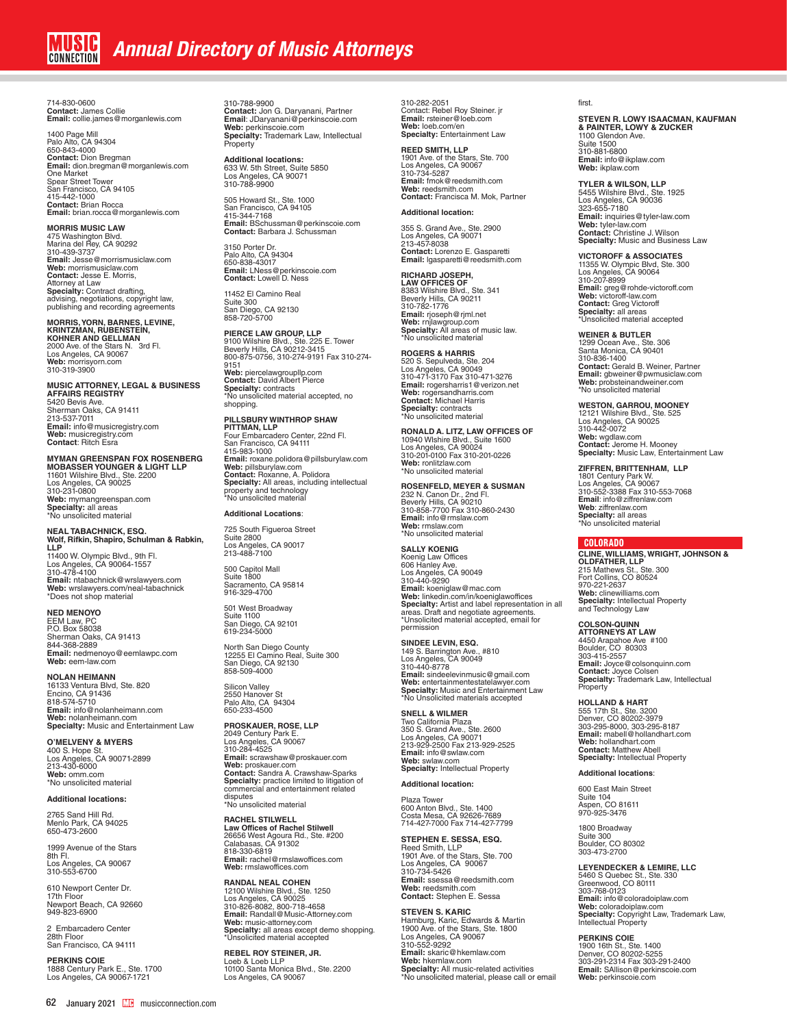714-830-0600 **Contact:** James Collie **Email:** collie.james@morganlewis.com

1400 Page Mill Palo Alto, CA 94304<br>650-843-4000<br>**Contact:** Dion Bregman<br>**Email:** dion.bregman@morganlewis.com One Market Spear Street Tower San Francisco, CA 94105 415-442-1000 **Contact:** Brian Rocca **Email:** brian.rocca@morganlewis.com

**MORRIS MUSIC LAW** 475 Washington Blvd. Marina del Rey, CA 90292 310-439-3737 **Email:** Jesse@morrismusiclaw.com **Web:** morrismusiclaw.com **Contact:** Jesse E. Morris, Attorney at Law<br>**Specialty:** Contract drafting,<br>advising, negotiations, copyright law,<br>publishing and recording agreements

**MORRIS, YORN, BARNES, LEVINE,** 

**KRINTZMAN, RUBENSTEIN,<br><b>KOHNER AND GELLMAN**<br>2000 Ave. of the Stars N. 3rd Fl.<br>Los Angeles, CA 90067<br>Web: morrisyorn.com<br>310-319-3900

**MUSIC ATTORNEY, LEGAL & BUSINESS AFFAIRS REGISTRY** 5420 Bevis Ave. Sherman Oaks, CA 91411 213-537-7011 **Email:** info@musicregistry.com **Web:** musicregistry.com **Contact**: Ritch Esra

**MYMAN GREENSPAN FOX ROSENBERG MOBASSER YOUNGER & LIGHT LLP** 11601 Wilshire Blvd., Ste. 2200 Los Angeles, CA 90025 310-231-0800 **Web:** mymangreenspan.com **Specialty:** all areas \*No unsolicited material

**NEAL TABACHNICK, ESQ. Wolf, Rifkin, Shapiro, Schulman & Rabkin, LLP** 11400 W. Olympic Blvd., 9th Fl. Los Angeles, CA 90064-1557 310-478-4100 **Email:** ntabachnick@wrslawyers.com **Web:** wrslawyers.com/neal-tabachnick \*Does not shop material

#### **NED MENOYO**

EEM Law, PC P.O. Box 58038 Sherman Oaks, CA 91413 844-368-2889 **Email:** nedmenoyo@eemlawpc.com **Web:** eem-law.com

#### **NOLAN HEIMANN**

16133 Ventura Blvd, Ste. 820 Encino, CA 91436 818-574-5710 **Email:** info@nolanheimann.com **Web:** nolanheimann.com **Specialty:** Music and Entertainment Law

**O'MELVENY & MYERS** 400 S. Hope St. Los Angeles, CA 90071-2899 213-430-6000 **Web:** omm.com \*No unsolicited material

#### **Additional locations:**

2765 Sand Hill Rd. Menlo Park, CA 94025 650-473-2600

1999 Avenue of the Stars 8th Fl. Los Angeles, CA 90067 310-553-6700

610 Newport Center Dr. 17th Floor Newport Beach, CA 92660 949-823-6900

2 Embarcadero Center 28th Floor San Francisco, CA 94111

**PERKINS COIE** 1888 Century Park E., Ste. 1700 Los Angeles, CA 90067-1721

310-788-9900 **Contact:** Jon G. Daryanani, Partner **Email**: JDaryanani@perkinscoie.com **Web:** perkinscoie.com **Specialty:** Trademark Law, Intellectual Property

**Additional locations:** 633 W. 5th Street, Suite 5850 Los Angeles, CA 90071 310-788-9900

505 Howard St., Ste. 1000<br>San Francisco, CA 94105<br>415-344-7168<br>**Email:** BSchussman@perkinscoie.com **Contact:** Barbara J. Schussman

3150 Porter Dr. Palo Alto, CA 94304 650-838-43017 **Email:** LNess@perkinscoie.com **Contact:** Lowell D. Ness

11452 El Camino Real Suite 300 San Diego, CA 92130 858-720-5700

**PIERCE LAW GROUP, LLP**<br>9100 Wilshire Blvd., Ste. 225 E. Tower<br>Beverly Hills, CA 90212-3415<br>800-875-0756, 310-274-9191 Fax 310-274-9151 **Web:** piercelawgroupllp.com **Contact:** David Albert Pierce **Specialty:** contracts<br>\*No unsolicited material accepted, no<br>shopping.

**PILLSBURY WINTHROP SHAW PITTMAN, LLP** Four Embarcadero Center, 22nd Fl. San Francisco, CA 94111 415-983-1000 **Email:** roxane.polidora@pillsburylaw.com Web: pillsburylaw.com<br>**Contact:** Roxanne, A. Polidora<br>**Specialty:** All areas, including intellectual<br>property and technology<br>\*No unsolicited material

**Additional Locations**:

725 South Figueroa Street Suite 2800 Los Angeles, CA 90017 213-488-7100

500 Capitol Mall Suite 1800 Sacramento, CA 95814 916-329-4700

501 West Broadway Suite 1100 San Diego, CA 92101 619-234-5000

North San Diego County 12255 El Camino Real, Suite 300 San Diego, CA 92130 858-509-4000

Silicon Valley 2550 Hanover St Palo Alto, CA 94304 650-233-4500

**PROSKAUER, ROSE, LLP** 2049 Century Park E. Los Angeles, CA 90067 310-284-4525 **Email:** scrawshaw@proskauer.com **Web:** proskauer.com **Contact:** Sandra A. Crawshaw-Sparks **Specialty:** practice limited to litigation of commercial and entertainment related disputes \*No unsolicited material

**RACHEL STILWELL Law Offices of Rachel Stilwell**<br>26656 West Agoura Rd., Ste. #200<br>Calabasas, CA 91302 818-330-6819 **Email:** rachel@rmslawoffices.com **Web:** rmslawoffices.com

**RANDAL NEAL COHEN** 12100 Wilshire Blvd., Ste. 1250<br>Los Angeles, CA 90025<br>310-826-8082, 800-718-4658<br>**Email:** Randall@Music-Attorney.com **Web:** music-attorney.com **Specialty:** all areas except demo shopping. \*Unsolicited material accepted

**REBEL ROY STEINER, JR.** Loeb & Loeb LLP 10100 Santa Monica Blvd., Ste. 2200 Los Angeles, CA 90067

310-282-2051 Contact: Rebel Roy Steiner. jr **Email:** rsteiner@loeb.com **Web:** loeb.com/en **Specialty:** Entertainment Law

**REED SMITH, LLP<br>1901 Ave. of the Stars, Ste. 700<br>Los Angeles, CA 90067<br>310-734-5287 Email:** fmok@reedsmith.com **Web:** reedsmith.com **Contact:** Francisca M. Mok, Partner

#### **Additional location:**

355 S. Grand Ave., Ste. 2900 Los Angeles, CA 90071 213-457-8038 **Contact:** Lorenzo E. Gasparetti **Email:** lgasparetti@reedsmith.com

**RICHARD JOSEPH,** 

**LAW OFFICES OF**<br>8383 Wilshire Blvd., Ste. 341<br>Beverly Hills, CA 90211<br>310-782-1776 **Email:** rjoseph@rjml.net **Web:** rnjlawgroup.com **Specialty:** All areas of music law. \*No unsolicited material

#### **ROGERS & HARRIS**

520 S. Sepulveda, Ste. 204 Los Angeles, CA 90049 310-471-3170 Fax 310-471-3276 **Email:** rogersharris1@verizon.net **Web:** rogersandharris.com **Contact:** Michael Harris **Specialty:** contracts \*No unsolicited material

#### **RONALD A. LITZ, LAW OFFICES OF**

10940 Wlshire Blvd., Suite 1600 Los Angeles, CA 90024 310-201-0100 Fax 310-201-0226 **Web:** ronlitzlaw.com \*No unsolicited material

### **ROSENFELD, MEYER & SUSMAN**

232 N. Canon Dr., 2nd Fl. Beverly Hills, CA 90210 310-858-7700 Fax 310-860-2430 **Email:** info@rmslaw.com **Web:** rmslaw.com \*No unsolicited material

**SALLY KOENIG**<br>Koenig Law Offices<br>606 Hanley Ave.<br>Los Angeles, CA 90049<br>310-440-9290<br>**Email:** koeniglaw@mac.com **Web:** linkedin.com/in/koeniglawoffices<br>**Specialty:** Artist and label representation in all<br>areas. Draft and negotiate agreements.<br>\*Unsolicited material accepted, email for permission

**SINDEE LEVIN, ESQ.**

149 S. Barrington Ave., #810 Los Angeles, CA 90049 310-440-8778 **Email:** sindeelevinmusic@gmail.com **Web:** entertainmentestatelawyer.com **Specialty:** Music and Entertainment Law \*No Unsolicited materials accepted

**SNELL & WILMER<br>Two California Plaza<br>350 S. Grand Ave., Ste. 2600<br>Los Angeles, CA 90071<br>213-929-2500 Fax 213-929-2525<br><b>Email:** info@swlaw.com **Web:** swlaw.com **Specialty:** Intellectual Property

#### **Additional location:**

Plaza Tower 600 Anton Blvd., Ste. 1400 Costa Mesa, CA 92626-7689 714-427-7000 Fax 714-427-7799

**STEPHEN E. SESSA, ESQ.**  Reed Smith, LLP 1901 Ave. of the Stars, Ste. 700 Los Angeles, CA 90067 310-734-5426 **Email:** ssessa@reedsmith.com **Web:** reedsmith.com **Contact:** Stephen E. Sessa

#### **STEVEN S. KARIC**

Hamburg, Karic, Edwards & Martin 1900 Ave. of the Stars, Ste. 1800 Los Angeles, CA 90067<br>310-552-9292<br>**Email:** skaric@hkemlaw.com **Web:** hkemlaw.com<br>**Specialty:** All music-related activities<br>\*No unsolicited material, please call or email

#### first.

**STEVEN R. LOWY ISAACMAN, KAUFMAN & PAINTER, LOWY & ZUCKER** 1100 Glendon Ave. Suite 1500 310-881-6800 **Email:** info@ikplaw.com **Web:** ikplaw.com

**TYLER & WILSON, LLP**<br>5455 Wilshire Blvd., Ste. 1925<br>Los Angeles, CA 90036<br>323-655-7180<br>**Email:** inquiries@tyler-law.com **Web:** tyler-law.com **Contact:** Christine J. Wilson **Specialty:** Music and Business Law

**VICTOROFF & ASSOCIATES<br>11355 W. Olympic Blvd, Ste. 300<br>Los Angeles, CA 90064<br>310-207-8999 Email:** greg@rohde-victoroff.com **Web:** victoroff-law.com **Contact:** Greg Victoroff **Specialty:** all areas \*Unsolicited material accepted

**WEINER & BUTLER** 1299 Ocean Ave., Ste. 306 Santa Monica, CA 90401 310-836-1400 **Contact:** Gerald B. Weiner, Partner **Email:** gbweiner@pwmusiclaw.com **Web:** probsteinandweiner.com \*No unsolicited material

**WESTON, GARROU, MOONEY<br>12121 Wilshire Blvd., Ste. 525<br>Los Angeles, CA 90025<br>310-442-0072 Web:** wgdlaw.com **Contact:** Jerome H. Mooney **Specialty:** Music Law, Entertainment Law

**ZIFFREN, BRITTENHAM, LLP**<br>1801 Century Park W.<br>Los Angeles, CA 90067<br>310-552-3388 Fax 310-553-7068<br>**Email**: info@ziffrenlaw.com **Web**: ziffrenlaw.com **Specialty:** all areas \*No unsolicited material

#### COLORADO

**CLINE, WILLIAMS, WRIGHT, JOHNSON &<br>OLDFATHER, LLP<br>215 Mathews St., Ste. 300<br>Fort Collins, CO 80524** 970-221-2637 **Web:** clinewilliams.com **Specialty:** Intellectual Property and Technology Law

#### **COLSON-QUINN**

**ATTORNEYS AT LAW<br>4450 Arapahoe Ave #100<br>Boulder, CO 80303<br>303-415-2557 Email:** Joyce@colsonquinn.com **Contact:** Joyce Colsen **Specialty:** Trademark Law, Intellectual **Property** 

#### **HOLLAND & HART**

555 17th St., Ste. 3200 Denver, CO 80202-3979 303-295-8000, 303-295-8187 **Email:** mabell@hollandhart.com **Web:** hollandhart.com **Contact:** Matthew Abell **Specialty:** Intellectual Property

#### **Additional locations**:

600 East Main Street Suite 104 Aspen, CO 81611 970-925-3476

1800 Broadway Suite 300 Boulder, CO 80302 303-473-2700

**LEYENDECKER & LEMIRE, LLC**<br>5460 S Quebec St., Ste. 330<br>Greenwood, CO 80111<br>303-768-0123 **Email:** info@coloradoiplaw.com **Web:** coloradoiplaw.com **Specialty:** Copyright Law, Trademark Law, Intellectual Property

**PERKINS COIE** 1900 16th St., Ste. 1400 Denver, CO 80202-5255 303-291-2314 Fax 303-291-2400 **Email:** SAllison@perkinscoie.com **Web:** perkinscoie.com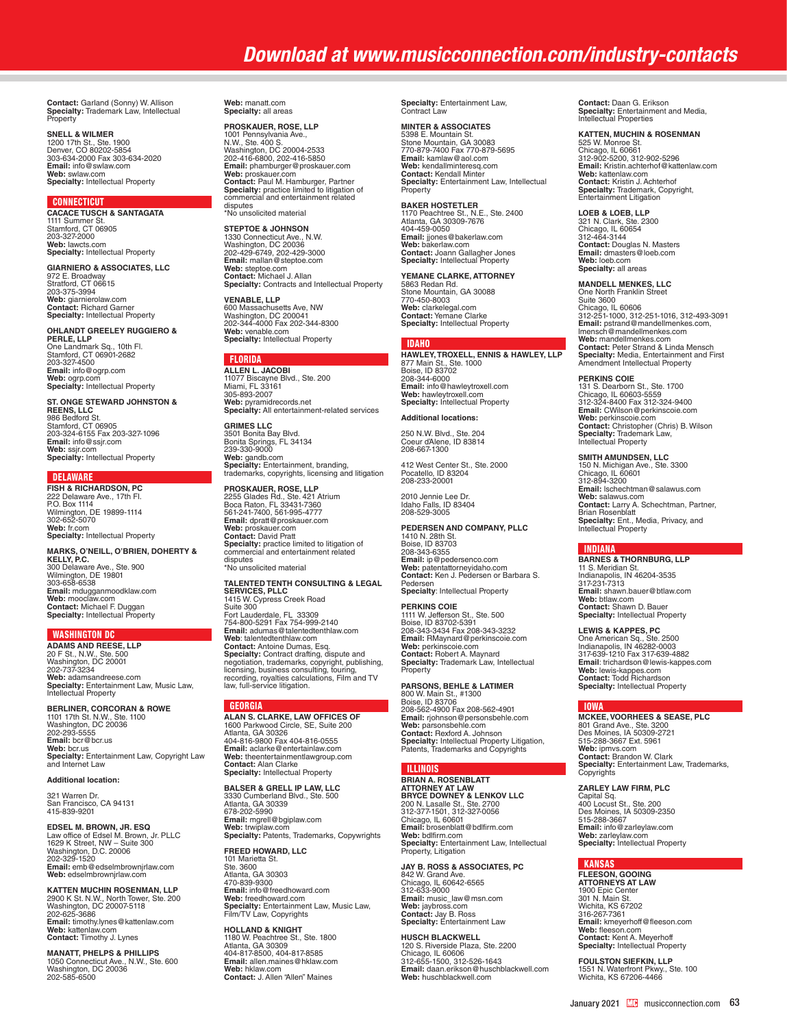**Contact:** Garland (Sonny) W. Allison **Specialty:** Trademark Law, Intellectual **Property** 

#### **SNELL & WILMER**

1200 17th St., Ste. 1900 Denver, CO 80202-5854 303-634-2000 Fax 303-634-2020 **Email:** info@swlaw.com **Web:** swlaw.com **Specialty:** Intellectual Property

#### **CONNECTICUT**

**CACACE TUSCH & SANTAGATA**  1111 Summer St. Stamford, CT 06905 203-327-2000 **Web:** lawcts.com **Specialty:** Intellectual Property

**GIARNIERO & ASSOCIATES, LLC** 972 E. Broadway Stratford, CT 06615 203-375-3994 **Web:** giarnierolaw.com **Contact:** Richard Garner **Specialty:** Intellectual Property

#### **OHLANDT GREELEY RUGGIERO &**

**PERLE, LLP**  One Landmark Sq., 10th Fl. Stamford, CT 06901-2682 203-327-4500 **Email:** info@ogrp.com **Web:** ogrp.com **Specialty:** Intellectual Property

**ST. ONGE STEWARD JOHNSTON & REENS, LLC** 986 Bedford St. Stamford, CT 06905 203-324-6155 Fax 203-327-1096 **Email:** info@ssjr.com **Web:** ssjr.com **Specialty:** Intellectual Property

#### **DELAWARE**

**FISH & RICHARDSON, PC** 222 Delaware Ave., 17th Fl. P.O. Box 1114 Wilmington, DE 19899-1114 302-652-5070 **Web:** fr.com **Specialty:** Intellectual Property

**MARKS, O'NEILL, O'BRIEN, DOHERTY &<br><b>KELLY, P.C.**<br>**300 Delaware Ave., Ste. 900<br>Wilmington, DE 19801<br>303-658-6538 Email:** mdugganmoodklaw.com **Web:** mooclaw.com **Contact:** Michael F. Duggan **Specialty:** Intellectual Property

WASHINGTON DC **ADAMS AND REESE, LLP** 20 F St., N.W., Ste. 500 Washington, DC 20001 202-737-3234 **Web:** adamsandreese.com **Specialty:** Entertainment Law, Music Law, Intellectual Property

**BERLINER, CORCORAN & ROWE<br>1101 17th St. N.W., Ste. 1100<br>Washington, DC 20036<br>202-293-5555 Email:** bcr@bcr.us **Web:** bcr.us **Specialty:** Entertainment Law, Copyright Law and Internet Law

### **Additional location:**

321 Warren Dr. San Francisco, CA 94131 415-839-9201

**EDSEL M. BROWN, JR. ESQ** Law office of Edsel M. Brown, Jr. PLLC 1629 K Street, NW – Suite 300 Washington, D.C. 20006 202-329-1520 **Email:** emb@edselmbrownjrlaw.com **Web:** edselmbrownjrlaw.com

**KATTEN MUCHIN ROSENMAN, LLP** 2900 K St. N.W., North Tower, Ste. 200 Washington, DC 20007-5118 202-625-3686 **Email:** timothy.lynes@kattenlaw.com **Web:** kattenlaw.com **Contact:** Timothy J. Lynes

**MANATT, PHELPS & PHILLIPS**  1050 Connecticut Ave., N.W., Ste. 600 Washington, DC 20036 202-585-6500 **Web:** manatt.com **Specialty:** all areas

**PROSKAUER, ROSE, LLP** 1001 Pennsylvania Ave.,<br>N.W., Ste. 400 S. N.W., Ste. 400 S.<br>Washington, DC 20004-2533<br>202-416-6800, 202-416-5850<br>**Email:** phamburger@proskauer.com<br>**Web:** proskauer.com<br>**Contact:** Paul M. Hamburger, Partner<br>**Specialty:** practice limited to litigation of<br>commercial

**STEPTOE & JOHNSON**<br>1330 Connecticut Ave., N.W.<br>Washington, DC 20036<br>202-429-6749, 202-429-3000<br>**Email:** mallan@steptoe.com **Web:** steptoe.com **Contact:** Michael J. Allan **Specialty:** Contracts and Intellectual Property

**VENABLE, LLP<br>600 Massachusetts Ave, NW<br>Washington, DC 200041<br>202-344-4000 Fax 202-344-8300<br><b>Web:** venable.com<br>**Specialty:** Intellectual Property

**FLORIDA**<br>ALLEN L. JACOBI **ALLEN L. JACOBI<br>11077 Biscayne Blvd., Ste. 200<br>Miami, FL 33161<br>305-893-2007 Web:** pyramidrecords.net **Specialty:** All entertainment-related services

**GRIMES LLC** 3501 Bonita Bay Blvd. Bonita Springs, FL 34134 239-330-9000 **Web:** gandb.com **Specialty:** Entertainment, branding, trademarks, copyrights, licensing and litigation

**PROSKAUER, ROSE, LLP**  2255 Glades Rd., Ste. 421 Atrium Boca Raton, FL 33431-7360 561-241-7400, 561-995-4777 **Email:** dpratt@proskauer.com **Web:** proskauer.com **Contact:** David Pratt **Specialty:** practice limited to litigation of commercial and entertainment related disputes \*No unsolicited material

**TALENTED TENTH CONSULTING & LEGAL SERVICES, PLLC** 1415 W. Cypress Creek Road

Suite 300 Fort Lauderdale, FL 33309 754-800-5291 Fax 754-999-2140 **Email:** adumas@talentedtenthlaw.com Web: talentedenthlaw.com<br>Contact: Antoine Dumas, Esq.<br>Specialty: Contract drafting, dispute and<br>negotiation, trademarks, copyright, publishing,<br>licensing, business consulting, touring,<br>recording, royalties calculations, Fi

### **GEORGIA**

**ALAN S. CLARKE, LAW OFFICES OF** 1600 Parkwood Circle, SE, Suite 200 Atlanta, GA 30326 Aliania, GA 30326<br>404-816-9800 Fax 404-816-0555 **Email:** aclarke@entertainlaw.com **Web:** theentertainmentlawgroup.com **Contact:** Alan Clarke **Specialty:** Intellectual Property

**BALSER & GRELL IP LAW, LLC** 3330 Cumberland Blvd., Ste. 500<br>Atlanta, GA 30339<br>678-202-5990<br>**Email:** mgrell@bgiplaw.com<br>**Web: tr**wiplaw.com<br>**Specialty:** Patents, Trademarks, Copywrights

**FREED HOWARD, LLC**

101 Marietta St. Ste. 3600 Atlanta, GA 30303 470-839-9300 **Email:** info@freedhoward.com **Web:** freedhoward.com **Specialty:** Entertainment Law, Music Law, Film/TV Law, Copyrights

**HOLLAND & KNIGHT**<br>1180 W. Peachtree St., Ste. 1800<br>Atlanta, GA 30309 404-817-8500, 404-817-8585 **Email:** allen.maines@hklaw.com **Web:** hklaw.com **Contact:** J. Allen "Allen" Maines **Specialty:** Entertainment Law, Contract Law

**MINTER & ASSOCIATES** 5398 E. Mountain St.<br>Stone Mountain, GA 30083<br>**Fro**-879-7400 Fax 770-879-5695<br>**Web:** kendallminteresq.com<br>**Web:** kendall Minter<br>**Contact:** Kendall Minter<br>**Specialty:** Entertainment Law, Intellectual Property

**BAKER HOSTETLER** 1170 Peachtree St., N.E., Ste. 2400 Atlanta, GA 30309-7676 404-459-0050<br>**Email:** jjones@bakerlaw.com<br>**Web:** bakerlaw.com<br>**Contact:** Joann Gallagher Jones<br>**Specialty:** Intellectual Property

**YEMANE CLARKE, ATTORNEY** 5863 Redan Rd. Stone Mountain, GA 30088 770-450-8003 **Web:** clarkelegal.com **Contact:** Yemane Clarke **Specialty:** Intellectual Property

**\_IDAHO**<br>**HAWLEY, TROXELL, ENNIS & HAWLEY, LLP<br>877 Main St., Ste. 1000<br>Boise, ID 83702** 208-344-6000 **Email:** info@hawleytroxell.com **Web:** hawleytroxell.com **Specialty:** Intellectual Property

### **Additional locations:**

250 N.W. Blvd., Ste. 204 Coeur d'Alene, ID 83814 208-667-1300

412 West Center St., Ste. 2000 Pocatello, ID 83204 208-233-20001

2010 Jennie Lee Dr. Idaho Falls, ID 83404 208-529-3005

### **PEDERSEN AND COMPANY, PLLC**

1410 N. 28th St. Boise, ID 83703 208-343-6355 **Email:** ip@pedersenco.com **Web:** patentattorneyidaho.com **Contact:** Ken J. Pedersen or Barbara S. Pedersen **Specialty: Intellectual Property** 

PERKINS COIE<br>1111 W. Jefferson St., Ste. 500<br>Boise, ID 83702-5391<br>208-343-3434 Fax 208-343-3232<br>**Email:** RMaynard@perkinscoie.com<br>**Web:** perkinscoie.com<br>**Contact:** Robert A. Maynard **Specialty:** Trademark Law, Intellectual Property

**PARSONS, BEHLE & LATIMER** 800 W. Main St., #1300 Boise, ID 83706 208-562-4900 Fax 208-562-4901 **Email:** rjohnson@personsbehle.com **Web:** parsonsbehle.com **Contact:** Rexford A. Johnson **Specialty:** Intellectual Property Litigation, Patents, Trademarks and Copyrights

### ILLINOIS

**BRIAN A. ROSENBLATT ATTORNEY AT LAW<br><b>BRYCE DOWNEY & LENKOV LLC**<br>200 N. Lasalle St., Ste. 2700<br>312-377-1501, 312-327-0056 Chicago, IL 60601<br>**Email:** brosenblatt@bdlfirm.com<br>**Web:** bdlfirm.com<br>**Specialty:** Entertainment Law, Intellectual<br>Property, Litigation

**JAY B. ROSS & ASSOCIATES, PC** 842 W. Grand Ave. Chicago, IL 60642-6565 312-633-9000 **Email:** music\_law@msn.com **Web:** jaybross.com **Contact:** Jay B. Ross **Specialty:** Entertainment Law

**HUSCH BLACKWELL** 120 S. Riverside Plaza, Ste. 2200<br>Chicago, IL 60606<br>312-655-1500, 312-526-1643<br>**Email:** daan.erikson@huschblackwell.com Web: huschblackwell.com

**Contact:** Daan G. Erikson **Specialty:** Entertainment and Media, Intellectual Properties

### **KATTEN, MUCHIN & ROSENMAN**

525 W. Monroe St. Chicago, IL 60661 312-902-5200, 312-902-5296 **Email:** Kristin.achterhof@kattenlaw.com **Web:** kattenlaw.com **Contact:** Kristin J. Achterhof **Specialty:** Trademark, Copyright, Entertainment Litigation

**LOEB & LOEB, LLP**  321 N. Clark, Ste. 2300 Chicago, IL 60654 312-464-3144 **Contact:** Douglas N. Masters **Email:** dmasters@loeb.com **Web:** loeb.com **Specialty:** all areas

#### **MANDELL MENKES, LLC**

One North Franklin Street Suite 3600 Chicago, IL 60606 312-251-1000, 312-251-1016, 312-493-3091 **Email:** pstrand@mandellmenkes.com,<br>lmensch@mandellmenkes.com<br>Web: mandellmenkes.com<br>**Contact:** Peter Strand & Linda Mensch<br>**Specialty:** Media, Entertainment and First<br>Amendment Intellectual Property

**PERKINS COIE**<br>131 S. Dearborn St., Ste. 1700<br>Chicago, IL 60603-5559<br>Email: CWilson@perkinscoie.com<br>**Web:** perkinscoie.com<br>**Web:** perkinscoie.com<br>**Contact:** Christopher (Chris) B. Wilson **Specialty:** Trademark Law, Intellectual Property

**SMITH AMUNDSEN, LLC**<br>150 N. Michigan Ave., Ste. 3300<br>Chicago, IL 60601<br>312-894-3200 **Email:** Ischechtman@salawus.com<br>**Web:** salawus.com<br>**Contact:** Larry A. Schechtman, Partner,<br>Brian Rosenblatt<br>**Specialty:** Ent., Media, Privacy, and<br>Intellectual Property

#### **INDIANA**

**BARNES & THORNBURG, LLP** 11 S. Meridian St. Indianapolis, IN 46204-3535 317-231-7313 **Email:** shawn.bauer@btlaw.com **Web:** btlaw.com **Contact:** Shawn D. Bauer **Specialty:** Intellectual Property

**LEWIS & KAPPES, PC**<br>One American Sq., Ste. 2500<br>Indianapolis, IN 46282-0003<br>317-639-1210 Fax 317-639-4882 **Email**: trichardson@lewis-kappes.com **Web:** lewis-kappes.com **Contact:** Todd Richardson **Specialty:** Intellectual Property

#### IOWA

**MCKEE, VOORHEES & SEASE, PLC** 801 Grand Ave., Ste. 3200 Des Moines, IA 50309-2721 515-288-3667 Ext. 5961 **Web:** ipmvs.com **Contact:** Brandon W. Clark **Specialty:** Entertainment Law, Trademarks, Copyrights

#### **ZARLEY LAW FIRM, PLC**

Capital Sq. 400 Locust St., Ste. 200 Des Moines, IA 50309-2350 515-288-3667 **Email:** info@zarleylaw.com **Web:** zarleylaw.com **Specialty:** Intellectual Property

### KANSAS

**FLEESON, GOOING ATTORNEYS AT LAW** 1900 Epic Center 301 N. Main St. Wichita, KS 67202 316-267-7361 **Email:** kmeyerhoff@fleeson.com **Web:** fleeson.com **Contact:** Kent A. Meyerhoff **Specialty:** Intellectual Property

**FOULSTON SIEFKIN, LLP**<br>1551 N. Waterfront Pkwy., Ste. 100<br>Wichita, KS 67206-4466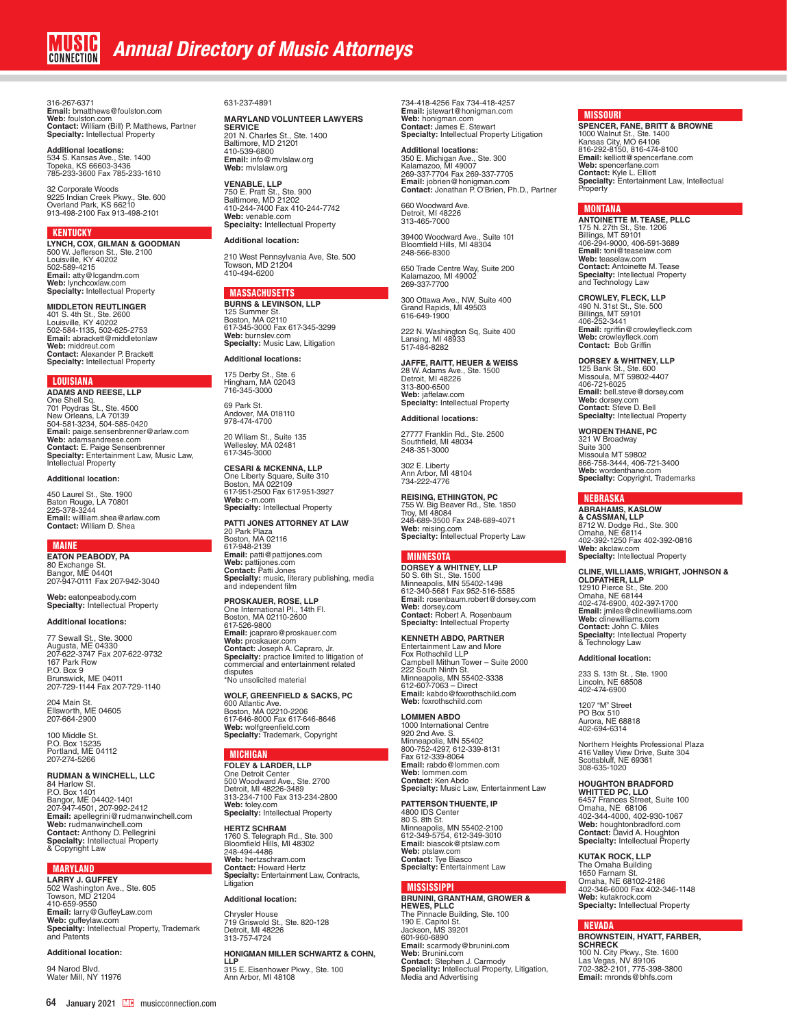316-267-6371 **Email:** bmatthews@foulston.com **Web:** foulston.com **Contact:** William (Bill) P. Matthews, Partner **Specialty:** Intellectual Property

**Additional locations:**<br>534 S. Kansas Ave., Ste. 1400<br>Topeka, KS 66603-3436 785-233-3600 Fax 785-233-1610

32 Corporate Woods 9225 Indian Creek Pkwy., Ste. 600 Overland Park, KS 66210 913-498-2100 Fax 913-498-2101

#### **KENTUCKY**

**LYNCH, COX, GILMAN & GOODMAN** 500 W. Jefferson St., Ste. 2100 Louisville, KY 40202 502-589-4215 **Email:** atty@lcgandm.com **Web:** lynchcoxlaw.com **Specialty:** Intellectual Property

**MIDDLETON REUTLINGER**<br>401 S. 4th St., Ste. 2600<br>Louisville, KY 40202 502-584-1135, 502-625-2753 **Email:** abrackett@middletonlaw **Web:** middreut.com **Contact:** Alexander P. Brackett **Specialty:** Intellectual Property

LOUISIANA<br>ADAMS AND REESE, LLP

**ADAMS AND REESE, LLP<br>One Shell Sq.<br>701 Poydras St., Ste. 4500<br>New Orleans, LA 70139<br>504-581-3234, 504-585-0420<br><b>Email:** paige.sensenbrenner@arlaw.com **Web:** adamsandreese.com<br>**Contact:** E. Paige Sensenbrenner<br>**Specialty:** Entertainment Law, Music Law,<br>Intellectual Property

#### **Additional location:**

450 Laurel St., Ste. 1900 Baton Rouge, LA 70801 225-378-3244 **Email:** willliam.shea@arlaw.com **Contact:** William D. Shea

**MAINE**<br>EATON PEARODY PA **EATON PEABODY, PA<br>80 Exchange St.<br>Bangor, ME 04401<br>207-947-0111 Fax 207-942-3040** 

**Web:** eatonpeabody.com **Specialty:** Intellectual Property

#### **Additional locations:**

77 Sewall St., Ste. 3000 Augusta, ME 04330 207-622-3747 Fax 207-622-9732 167 Park Row P.O. Box 9 Brunswick, ME 04011 207-729-1144 Fax 207-729-1140

204 Main St. Ellsworth, ME 04605 207-664-2900

100 Middle St. P.O. Box 15235 Portland, ME 04112 207-274-5266

#### **RUDMAN & WINCHELL, LLC**

84 Harlow St. P.O. Box 1401 Bangor, ME 04402-1401 207-947-4501, 207-992-2412 **Email:** apellegrini@rudmanwinchell.com **Web:** rudmanwinchell.com **Contact:** Anthony D. Pellegrini **Specialty:** Intellectual Property & Copyright Law

#### MARYLAND

**LARRY J. GUFFEY** 502 Washington Ave., Ste. 605 Towson, MD 21204 410-659-9550 **Email:** larry@GuffeyLaw.com **Web:** guffeylaw.com **Specialty:** Intellectual Property, Trademark and Patents

### **Additional location:**

94 Narod Blvd. Water Mill, NY 11976

#### 631-237-4891

# **MARYLAND VOLUNTEER LAWYERS SERVICE**

201 N. Charles St., Ste. 1400 Baltimore, MD 21201 410-539-6800 **Email:** info@mvlslaw.org **Web:** mvlslaw.org

**VENABLE, LLP<br>750 E. Pratt St., Ste. 900<br>Baltimore, MD 21202<br>410-244-7400 Fax 410-244-7742<br><b>Web:** venable.com **Specialty:** Intellectual Property

#### **Additional location:**

210 West Pennsylvania Ave, Ste. 500 Towson, MD 21204 410-494-6200

### **MASSACHUSETTS**

**BURNS & LEVINSON, LLP** 125 Summer St. Boston, MA 02110 617-345-3000 Fax 617-345-3299 **Web:** burnslev.com **Specialty:** Music Law, Litigation

# **Additional locations:**

175 Derby St., Ste. 6 Hingham, MA 02043 716-345-3000

69 Park St. Andover, MA 018110 978-474-4700

20 Wiliam St., Suite 135 Wellesley, MA 02481 617-345-3000

**CESARI & MCKENNA, LLP** One Liberty Square, Suite 310 Boston, MA 022109 617-951-2500 Fax 617-951-3927 **Web:** c-m.com **Specialty:** Intellectual Property

**PATTI JONES ATTORNEY AT LAW<br>20 Park Plaza<br>Boston, MA 02116** 617-948-2139 **Email:** patti@pattijones.com **Web:** pattijones.com **Contact:** Patti Jones **Specialty:** music, literary publishing, media and independent film

**PROSKAUER, ROSE, LLP** One International Pl., 14th Fl. Boston, MA 02110-2600 617-526-9800<br>**Email:** jcapraro@proskauer.com<br>**Web:** proskauer.com<br>**Contact:** Joseph A. Capraro, Jr.<br>**Specialty:** practice limited to litigation of<br>commercial and entertainment related disputes \*No unsolicited material

**WOLF, GREENFIELD & SACKS, PC**  600 Atlantic Ave. Boston, MA 02210-2206 617-646-8000 Fax 617-646-8646 **Web:** wolfgreenfield.com **Specialty:** Trademark, Copyright

#### MICHIGAN

**FOLEY & LARDER, LLP**<br>One Detroit Center<br>500 Woodward Ave., Ste. 2700 Detroit, MI 48226-3489 313-234-7100 Fax 313-234-2800 **Web:** foley.com **Specialty:** Intellectual Property

### **HERTZ SCHRAM**

1760 S. Telegraph Rd., Ste. 300 Bloomfield Hills, MI 48302 248-494-4486 **Web:** hertzschram.com **Contact:** Howard Hertz **Specialty:** Entertainment Law, Contracts, Litigation

#### **Additional location:**

Chrysler House 719 Griswold St., Ste. 820-128 Detroit, MI 48226 313-757-4724

#### **HONIGMAN MILLER SCHWARTZ & COHN,**

**LLP** 315 E. Eisenhower Pkwy., Ste. 100 Ann Arbor, MI 48108

734-418-4256 Fax 734-418-4257 **Email:** jstewart@honigman.com **Web:** honigman.com **Contact:** James E. Stewart **Specialty:** Intellectual Property Litigation

**Additional locations:**<br>350 E. Michigan Ave., Ste. 300<br>Kalamazoo, MI 49007<br>269-337-7704 Fax 269-337-7705<br>**Email:** jobrien@honigman.com<br>**Contact:** Jonathan P. O'Brien, Ph.D., Partner

660 Woodward Ave. Detroit, MI 48226 313-465-7000

39400 Woodward Ave., Suite 101 Bloomfield Hills, MI 48304 248-566-8300

650 Trade Centre Way, Suite 200 Kalamazoo, MI 49002 269-337-7700

300 Ottawa Ave., NW, Suite 400 Grand Rapids, MI 49503 616-649-1900

222 N. Washington Sq, Suite 400 Lansing, MI 48933 517-484-8282

**JAFFE, RAITT, HEUER & WEISS** 28 W. Adams Ave., Ste. 1500 Detroit, MI 48226 313-800-6500 **Web:** jaffelaw.com **Specialty:** Intellectual Property

#### **Additional locations:**

27777 Franklin Rd., Ste. 2500 Southfield, MI 48034 248-351-3000

302 E. Liberty Ann Arbor, MI 48104 734-222-4776

**REISING, ETHINGTON, PC** 755 W. Big Beaver Rd., Ste. 1850 Troy, MI 48084 248-689-3500 Fax 248-689-4071 **Web:** reising.com **Specialty:** Intellectual Property Law

### MINNESOTA

**DORSEY & WHITNEY, LLP**<br>50 S. 6th St., Ste. 1500<br>Minneapolis, MN 55402-1498<br>612-340-5681 Fax 952-516-5585 **Email:** rosenbaum.robert@dorsey.com **Web:** dorsey.com **Contact:** Robert A. Rosenbaum **Specialty:** Intellectual Property

**KENNETH ABDO, PARTNER** Entertainment Law and More Fox Rothschild LLP Campbell Mithun Tower – Suite 2000 222 South Ninth St. Minneapolis, MN 55402-3338 612-607-7063 – Direct **Email:** kabdo@foxrothschild.com **Web:** foxrothschild.com

**LOMMEN ABDO** 1000 International Centre 920 2nd Ave. S. Minneapolis, MN 55402 800-752-4297, 612-339-8131 Fax 612-339-8064 **Email:** rabdo@lommen.com

**Web:** lommen.com **Contact:** Ken Abdo **Specialty:** Music Law, Entertainment Law

**PATTERSON THUENTE, IP** 4800 IDS Center 80 S. 8th St. Minneapolis, MN 55402-2100 612-349-5754, 612-349-3010 **Email:** biascok@ptslaw.com **Web:** ptslaw.com **Contact:** Tye Biasco **Specialty:** Entertainment Law

### **MISSISSIPPI**

**BRUNINI, GRANTHAM, GROWER & HEWES, PLLC** The Pinnacle Building, Ste. 100 190 E. Capitol St. Jackson, MS 39201 601-960-6890 **Email:** scarmody@brunini.com **Web:** Brunini.com **Contact:** Stephen J. Carmody **Speciality:** Intellectual Property, Litigation, Media and Advertising

#### **MISSOURI**

**SPENCER, FANE, BRITT & BROWNE**<br>1000 Walnut St., Ste. 1400<br>Kansas City, MO 64106<br>816-292-8150, 816-474-8100<br>816-292-8150, 816-474-8100<br>**Email:** kelliott@spencerfane.com **Web:** spencerfane.com **Contact:** Kyle L. Elliott **Specialty:** Entertainment Law, Intellectual Property

#### MONTANA

**ANTOINETTE M. TEASE, PLLC** 175 N. 27th St., Ste. 1206 Billings, MT 59101 406-294-9000, 406-591-3689 **Email:** toni@teaselaw.com **Web:** teaselaw.com **Contact:** Antoinette M. Tease **Specialty:** Intellectual Property and Technology Law

**CROWLEY, FLECK, LLP** 490 N. 31st St., Ste. 500<br>Billings, MT 59101<br>406-252-3441<br>**Email:** rgriffin@crowleyfleck.com **Web:** crowleyfleck.com **Contact:** Bob Griffin

**DORSEY & WHITNEY, LLP**<br>125 Bank St., Ste. 600<br>Missoula, MT 59802-4407<br>406-721-6025 **Email:** bell.steve@dorsey.com **Web:** dorsey.com **Contact:** Steve D. Bell **Specialty:** Intellectual Property

**WORDEN THANE, PC** 321 W Broadway

Suite 300 Missoula MT 59802 866-758-3444, 406-721-3400 **Web:** wordenthane.com **Specialty:** Copyright, Trademarks

#### NEBRASKA

**ABRAHAMS, KASLOW<br><b>& CASSMAN, LLP**<br>8712 W. Dodge Rd., Ste. 300<br>Omaha, NE 68114<br>402-392-1250 Fax 402-392-0816 **Web:** akclaw.com **Specialty:** Intellectual Property

# **CLINE, WILLIAMS, WRIGHT, JOHNSON & OLDFATHER, LLP** 12910 Pierce St., Ste. 200 Omaha, NE 68144 402-474-6900, 402-397-1700 **Email:** jmiles@clinewilliams.com **Web:** clinewilliams.com **Contact:** John C. Miles **Specialty:** Intellectual Property & Technology Law

**Additional location:**

233 S. 13th St. , Ste. 1900 Lincoln, NE 68508 402-474-6900

1207 "M" Street<br>PO Box 510 PO Box 510 Aurora, NE 68818 402-694-6314

Northern Heights Professional Plaza 416 Valley View Drive, Suite 304 Scottsbluff, NE 69361 308-635-1020

**HOUGHTON BRADFORD WHITTED PC, LLO** 6457 Frances Street, Suite 100 Omaha, NE 68106 402-344-4000, 402-930-1067 **Web:** houghtonbradford.com **Contact:** David A. Houghton **Specialty:** Intellectual Property

**KUTAK ROCK, LLP** The Omaha Building 1650 Farnam St. Omaha, NE 68102-2186 402-346-6000 Fax 402-346-1148 **Web:** kutakrock.com **Specialty:** Intellectual Property

#### NEVADA

**BROWNSTEIN, HYATT, FARBER,<br><b>SCHRECK**<br>100 N. City Pkwy., Ste. 1600<br>Las Vegas, NV 89106<br>702-382-2101, 775-398-3800 **Email:** mronds@bhfs.com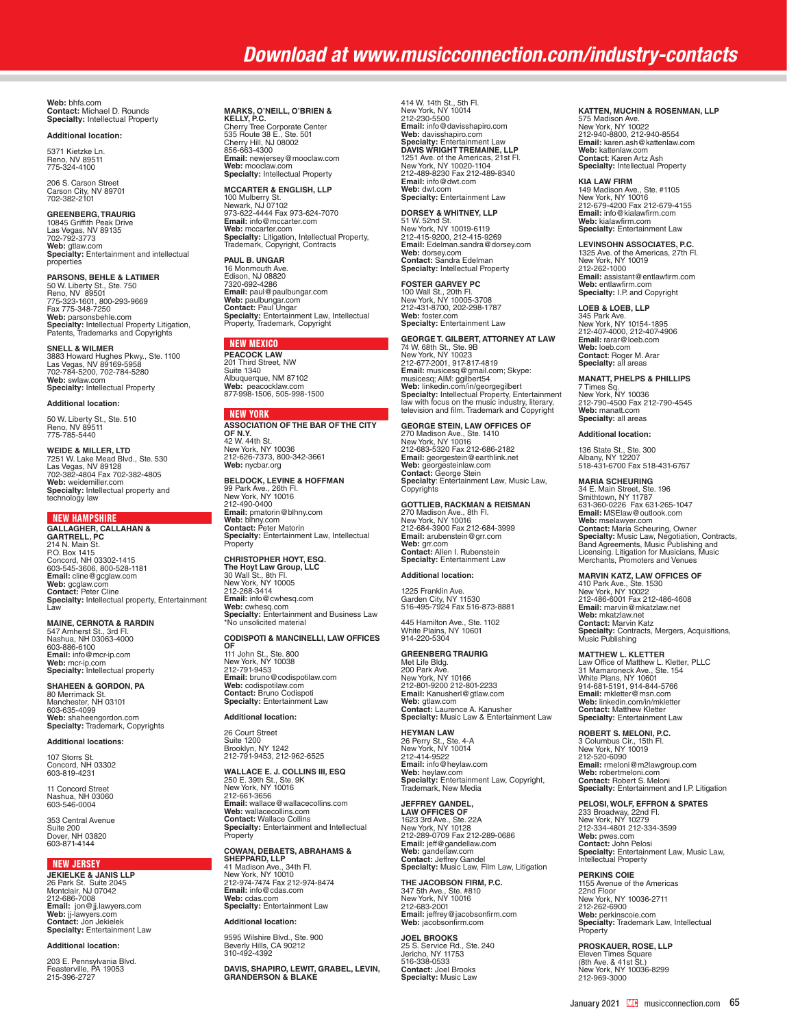**Web:** bhfs.com **Contact:** Michael D. Rounds **Specialty:** Intellectual Property

#### **Additional location:**

5371 Kietzke Ln. Reno, NV 89511 775-324-4100

206 S. Carson Street Carson City, NV 89701 702-382-2101

**GREENBERG, TRAURIG** 10845 Griffith Peak Drive Las Vegas, NV 89135 702-792-3773 **Web:** gtlaw.com **Specialty:** Entertainment and intellectual properties

**PARSONS, BEHLE & LATIMER** 50 W. Liberty St., Ste. 750 Reno, NV 89501 775-323-1601, 800-293-9669 Fax 775-348-7250 **Web:** parsonsbehle.com<br>**Specialty:** Intellectual Property Litigation,<br>Patents, Trademarks and Copyrights

**SNELL & WILMER**<br>3883 Howard Hughes Pkwy., Ste. 1100<br>Las Vegas, NV 89169-5958<br>702-784-5200, 702-784-5280 **Web:** swlaw.com **Specialty:** Intellectual Property

**Additional location:**

50 W. Liberty St., Ste. 510 Reno, NV 89511 775-785-5440

WE**IDE & MILLER, LTD**<br>7251 W. Lake Mead Blvd., Ste. 530<br>Las Vegas, NV 89128<br>702-382-4804 Fax 702-382-4805<br>**Web:** weidemiller.com<br>**Specialty:** Intellectual property and technology law

#### NEW HAMPSHIRE

**GALLAGHER, CALLAHAN &<br>GARTRELL, PC<br>214 N. Main St.<br>P.O. Box 1415<br>Concord, NH 03302-1415<br>603-545-3606, 800-528-1181<br><b>Email:** cline@gcglaw.com **Web:** gcglaw.com<br>**Contact:** Peter Cline<br>**Specialty:** Intellectual property, Entertainment<br>Law

### **MAINE, CERNOTA & RARDIN**

547 Amherst St., 3rd Fl. Nashua, NH 03063-4000 603-886-6100 **Email:** info@mcr-ip.com **Web:** mcr-ip.com **Specialty:** Intellectual property

**SHAHEEN & GORDON, PA** 80 Merrimack St. Manchester, NH 03101 603-635-4099 **Web:** shaheengordon.com **Specialty:** Trademark, Copyrights

#### **Additional locations:**

107 Storrs St. Concord, NH 03302 603-819-4231

11 Concord Street Nashua, NH 03060 603-546-0004

353 Central Avenue Suite 200 Dover, NH 03820 603-871-4144

#### **NEW JERSEY**

**JEKIELKE & JANIS LLP** 26 Park St. Suite 2045 Montclair, NJ 07042 212-686-7008 **Email:** jon@jj.lawyers.com **Web:** jj-lawyers.com **Contact:** Jon Jekielek **Specialty:** Entertainment Law

#### **Additional location:**

203 E. Pennsylvania Blvd. Feasterville, PA 19053 215-396-2727

#### **MARKS, O'NEILL, O'BRIEN &**

**KELLY, P.C.** Cherry Tree Corporate Center 535 Route 38 E., Ste. 501 Cherry Hill, NJ 08002<br>856-663-4300<br>**Email:** newjersey@mooclaw.com<br>**Web:** mooclaw.com<br>**Specialty:** Intellectual Property

**MCCARTER & ENGLISH, LLP** 100 Mulberry St. Newark, NJ 07102 973-622-4444 Fax 973-624-7070 **Email:** info@mccarter.com<br>**Web:** mccarter.com<br>**Specialty:** Litigation, Intellectual Property,<br>Trademark, Copyright, Contracts

**PAUL B. UNGAR** 16 Monmouth Ave. Edison, NJ 08820 7320-692-4286 **Email:** paul@paulbungar.com **Web:** paulbungar.com **Contact:** Paul Ungar **Specialty:** Entertainment Law, Intellectual Property, Trademark, Copyright

### NEW MEXICO

**PEACOCK LAW** 201 Third Street, NW Suite 1340 Albuquerque, NM 87102 **Web:** peacocklaw.com 877-998-1506, 505-998-1500

#### NEW YORK

**ASSOCIATION OF THE BAR OF THE CITY OF N.Y.**<br>42 W. 44th St.<br>New York, NY 10036<br>212-626-7373, 800-342-3661 **Web:** nycbar.org

**BELDOCK, LEVINE & HOFFMAN** 99 Park Ave., 26th Fl. New York, NY 10016 212-490-0400 **Email:** pmatorin@blhny.com **Web:** blhny.com<br>**Contact:** Peter Matorin<br>**Specialty:** Entertainment Law, Intellectual<br>Property

**CHRISTOPHER HOYT, ESQ. The Hoyt Law Group, LLC**<br>30 Wall St., 8th Fl.<br>New York, NY 10005<br>212-268-3414 **Email:** info@cwhesq.com **Web:** cwhesq.com **Specialty:** Entertainment and Business Law \*No unsolicited material

**CODISPOTI & MANCINELLI, LAW OFFICES OF**<br>111 John St., Ste. 800<br>New York, NY 10038 212-791-9453 **Email:** bruno@codispotilaw.com **Web:** codispotilaw.com **Contact:** Bruno Codispoti **Specialty:** Entertainment Law

#### **Additional location:**

26 Court Street Suite 1200 Brooklyn, NY 1242 212-791-9453, 212-962-6525

**WALLACE E. J. COLLINS III, ESQ** 250 E. 39th St., Ste. 9K New York, NY 10016 212-661-3656 **Email:** wallace@wallacecollins.com **Web:** wallacecollins.com **Contact:** Wallace Collins **Specialty:** Entertainment and Intellectual Property

#### **COWAN, DEBAETS, ABRAHAMS &**

**SHEPPARD, LLP** 41 Madison Ave., 34th Fl. New York, NY 10010 212-974-7474 Fax 212-974-8474 **Email:** info@cdas.com **Web:** cdas.com **Specialty:** Entertainment Law **Additional location:**

9595 Wilshire Blvd., Ste. 900 Beverly Hills, CA 90212 310-492-4392

**DAVIS, SHAPIRO, LEWIT, GRABEL, LEVIN, GRANDERSON & BLAKE**

414 W. 14th St., 5th Fl. New York, NY 10014 212-230-5500 **Email:** info@davisshapiro.com **Web:** davisshapiro.com<br>**Specialty: E**ntertainment Law<br>**DAVIS WRIGHT TREMAINE, LLP**<br>1251 Ave. of the Americas, 21st Fl.<br>New York, NY 10020-1104 212-489-8230 Fax 212-489-8340 **Email:** info@dwt.com **Web:** dwt.com **Specialty:** Entertainment Law

**DORSEY & WHITNEY, LLP** 51 W. 52nd St. New York, NY 10019-6119 212-415-9200, 212-415-9269 **Email:** Edelman.sandra@dorsey.com **Web:** dorsey.com **Contact:** Sandra Edelman **Specialty:** Intellectual Property

**FOSTER GARVEY PC**<br>100 Wall St., 20th Fl.<br>New York, NY 10005-3708 212-431-8700, 202-298-1787 **Web:** foster.com **Specialty:** Entertainment Law

**GEORGE T. GILBERT, ATTORNEY AT LAW** 74 W. 68th St., Ste. 9B New York, NY 10023 212-677-2001, 917-817-4819 Email: musicesq@gmail.com; Skype:<br>musicesq; AlM: ggibert54<br>Web: linkedin.com/in/georgegilbert<br>**Specialty**: Intellectual Property, Entertainment<br>law with focus on the music industry, literary,<br>television and film. Trademark

**GEORGE STEIN, LAW OFFICES OF** 270 Madison Ave., Ste. 1410 New York, NY 10016 212-683-5320 Fax 212-686-2182 **Email:** georgestein@earthlink.net<br>**Web:** georgesteinlaw.com<br>**Contact:** George Stein **Specialty**: Entertainment Law, Music Law, Copyrights

**GOTTLIEB, RACKMAN & REISMAN** 270 Madison Ave., 8th Fl. New York, NY 10016 212-684-3900 Fax 212-684-3999 **Email:** arubenstein@grr.com **Web:** grr.com **Contact:** Allen I. Rubenstein **Specialty:** Entertainment Law

### **Additional location:**

1225 Franklin Ave. Garden City, NY 11530 516-495-7924 Fax 516-873-8881

445 Hamilton Ave., Ste. 1102 White Plains, NY 10601 914-220-5304

#### **GREENBERG TRAURIG**

Met Life Bldg. 200 Park Ave. New York, NY 10166 212-801-9200 212-801-2233 **Email:** Kanusherl@gtlaw.com<br>**Web:** gtlaw.com<br>**Contact:** Laurence A. Kanusher<br>**Specialty:** Music Law & Entertainment Law

**HEYMAN LAW** 26 Perry St., Ste. 4-A New York, NY 10014 212-414-9522 **Email:** info@heylaw.com **Web:** heylaw.com<br>**Specialty:** Entertainment Law, Copyright,<br>Trademark, New Media

**JEFFREY GANDEL, LAW OFFICES OF** 1623 3rd Ave., Ste. 22A New York, NY 10128 212-289-0709 Fax 212-289-0686 **Email:** jeff@gandellaw.com<br>**Web:** gandellaw.com<br>**Contact:** Jeffrey Gandel<br>**Specialty:** Music Law, Film Law, Litigation

**THE JACOBSON FIRM, P.C.** 347 5th Ave., Ste. #810<br>New York, NY 10016<br>212-683-2001<br>**Email:** jeffrey@jacobsonfirm.com<br>**Web:** jacobsonfirm.com

**JOEL BROOKS**  25 S. Service Rd., Ste. 240 Jericho, NY 11753 516-338-0533 **Contact:** Joel Brooks **Specialty:** Music Law

# **KATTEN, MUCHIN & ROSENMAN, LLP**

575 Madison Ave. New York, NY 10022 212-940-8800, 212-940-8554 **Email:** karen.ash@kattenlaw.com **Web:** kattenlaw.com **Contact**: Karen Artz Ash **Specialty:** Intellectual Property

**KIA LAW FIRM**

149 Madison Ave., Ste. #1105 New York, NY 10016 212-679-4200 Fax 212-679-4155 **Email:** info@kialawfirm.com **Web:** kialawfirm.com **Specialty:** Entertainment Law

**LEVINSOHN ASSOCIATES, P.C.** 1325 Ave. of the Americas, 27th Fl. New York, NY 10019 212-262-1000 **Email:** assistant@entlawfirm.com **Web:** entlawfirm.com **Specialty:** I.P. and Copyright

**LOEB & LOEB, LLP**

345 Park Ave. New York, NY 10154-1895 212-407-4000, 212-407-4906 **Email:** rarar@loeb.com **Web:** loeb.com **Contact**: Roger M. Arar **Specialty:** all areas

**MANATT, PHELPS & PHILLIPS** 7 Times Sq. New York, NY 10036 212-790-4500 Fax 212-790-4545 **Web:** manatt.com **Specialty:** all areas

#### **Additional location:**

136 State St., Ste. 300 Albany, NY 12207 518-431-6700 Fax 518-431-6767

**MARIA SCHEURING** 34 E. Main Street, Ste. 196 Smithtown, NY 11787 631-360-0226 Fax 631-265-1047<br>Email: MSElaw@outlook.com<br>Web: mselawyer.com<br>**Contact:** Maria Scheuring, Owner<br>**Specialty:** Music Law, Negotiation, Contracts,<br>Band Agreements, Music Publishing and<br>Licensing. Litigation for M

**MARVIN KATZ, LAW OFFICES OF** 410 Park Ave., Ste. 1530 New York, NY 10022 212-486-6001 Fax 212-486-4608 **Email:** marvin@mkatzlaw.net **Web:** mkatzlaw.net **Contact:** Marvin Katz **Specialty:** Contracts, Mergers, Acquisitions, Music Publishing

**MATTHEW L. KLETTER** Law Office of Matthew L. Kletter, PLLC 31 Mamaroneck Ave., Ste. 154 White Plans, NY 10601 914-681-5191, 914-844-5766 **Email:** mkletter@msn.com **Web:** linkedin.com/in/mkletter **Contact:** Matthew Kletter **Specialty:** Entertainment Law

**ROBERT S. MELONI, P.C.** 3 Columbus Cir., 15th Fl. New York, NY 10019 212-520-6090 **Email:** rmeloni@m2lawgroup.com **Web:** robertmeloni.com **Contact:** Robert S. Meloni **Specialty:** Entertainment and I.P. Litigation

#### **PELOSI, WOLF, EFFRON & SPATES**

233 Broadway, 22nd Fl. New York, NY 10279 212-334-4801 212-334-3599 **Web:** pwes.com<br>**Contact:** John Pelosi<br>**Specialty:** Entertainment Law, Music Law,<br>Intellectual Property

#### **PERKINS COIE**

1155 Avenue of the Americas 22nd Floor New York, NY 10036-2711 212-262-6900 **Web:** perkinscoie.com **Specialty:** Trademark Law, Intellectual **Property** 

**PROSKAUER, ROSE, LLP** Eleven Times Square (8th Ave. & 41st St.) New York, NY 10036-8299 212-969-3000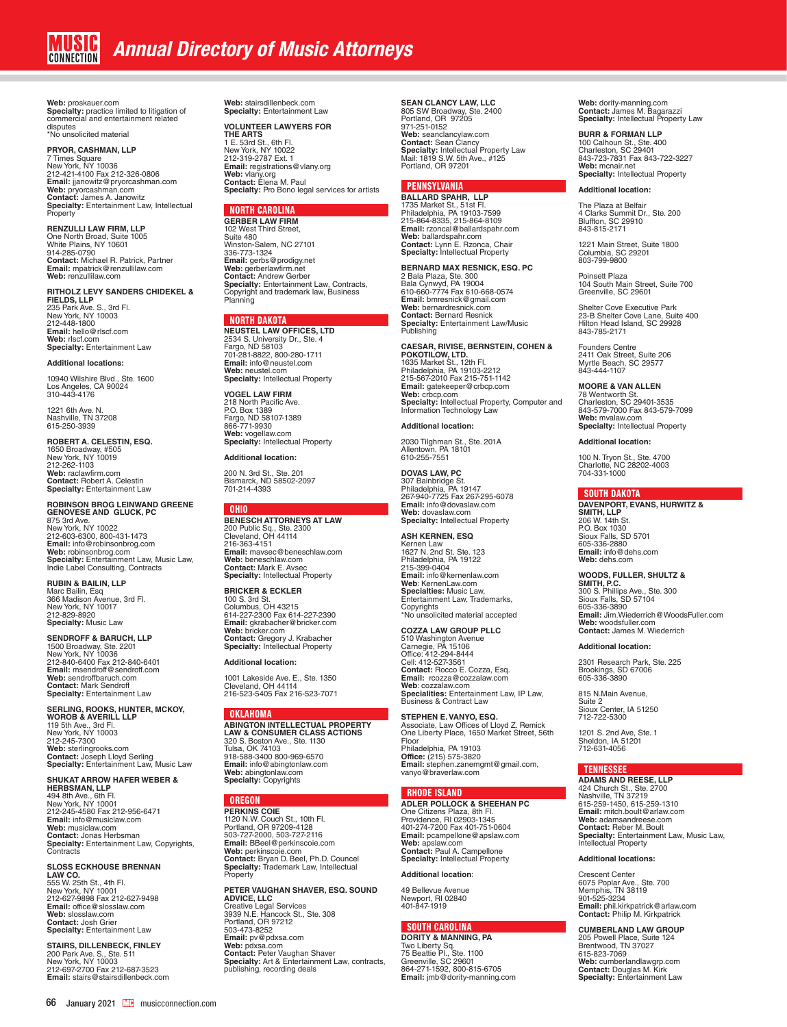**Web:** proskauer.com **Specialty:** practice limited to litigation of commercial and entertainment related disputes \*No unsolicited material

#### **PRYOR, CASHMAN, LLP**

7 Times Square<br>New York, NY 10036<br>212-421-4100 Fax 212-326-0806<br>**Email:** jjanowitz@pryorcashman.com<br>**Web:** pryorcashman.com<br>**Contact:** James A. Janowitz<br>**Specialty:** Entertainment Law, Intellectual **Property** 

**RENZULLI LAW FIRM, LLP** One North Broad, Suite 1005 White Plains, NY 10601 914-285-0790 **Contact:** Michael R. Patrick, Partner **Email:** mpatrick@renzullilaw.com **Web:** renzullilaw.com

**RITHOLZ LEVY SANDERS CHIDEKEL & FIELDS, LLP** 235 Park Ave. S., 3rd Fl. New York, NY 10003 212-448-1800 **Email:** hello@rlscf.com **Web:** rlscf.com **Specialty:** Entertainment Law

#### **Additional locations:**

10940 Wilshire Blvd., Ste. 1600 Los Angeles, CA 90024 310-443-4176

1221 6th Ave. N. Nashville, TN 37208 615-250-3939

**ROBERT A. CELESTIN, ESQ.** 1650 Broadway, #505 New York, NY 10019 212-262-1103 **Web:** raclawfirm.com **Contact:** Robert A. Celestin **Specialty:** Entertainment Law

**ROBINSON BROG LEINWAND GREENE<br>GENOVESE AND GLUCK, PC<br>875 3rd Ave.<br>New York, NY 10022** 212-603-6300, 800-431-1473<br>**Email:** info@robinsonbrog.com<br>**Web:** robinsonbrog.com<br>**Specialty:** Entertainment Law, Music Law,<br>Indie Label Consulting, Contracts

**RUBIN & BAILIN, LLP** Marc Bailin, Esq 366 Madison Avenue, 3rd Fl. New York, NY 10017 212-829-8920 **Specialty:** Music Law

**SENDROFF & BARUCH, LLP** 1500 Broadway, Ste. 2201 New York, NY 10036 212-840-6400 Fax 212-840-6401 **Email:** msendroff@sendroff.com **Web:** sendroffbaruch.com **Contact:** Mark Sendroff **Specialty:** Entertainment Law

**SERLING, ROOKS, HUNTER, MCKOY,<br>WOROB & AVERILL LLP<br>119 5th Ave., 3rd Fl.<br>New York, NY 10003** 212-245-7300<br>**Web:** sterlingrooks.com<br>**Contact:** Joseph Lloyd Serling<br>**Specialty:** Entertainment Law, Music Law

### **SHUKAT ARROW HAFER WEBER & HERBSMAN, LLP**

494 8th Ave., 6th Fl. New York, NY 10001 212-245-4580 Fax 212-956-6471 **Email:** info@musiclaw.com **Web:** musiclaw.com **Contact:** Jonas Herbsman **Specialty:** Entertainment Law, Copyrights, **Contracts** 

### **SLOSS ECKHOUSE BRENNAN**

**LAW CO.**<br>555 W. 25th St., 4th Fl.<br>New York, NY 10001<br>212-627-9898 Fax 212-627-9498<br>**Email:** office@slosslaw.com **Web:** slosslaw.com **Contact:** Josh Grier **Specialty:** Entertainment Law

**STAIRS, DILLENBECK, FINLEY** 200 Park Ave. S., Ste. 511 New York, NY 10003 212-697-2700 Fax 212-687-3523 **Email:** stairs@stairsdillenbeck.com

**Web:** stairsdillenbeck.com **Specialty:** Entertainment Law

### **VOLUNTEER LAWYERS FOR**

**THE ARTS**<br>1 E. 53rd St., 6th Fl.<br>New York, NY 10022<br>212-319-2787 Ext. 1 **Email:** registrations@vlany.org **Web:** vlany.org **Contact:** Elena M. Paul **Specialty:** Pro Bono legal services for artists

### NORTH CAROLINA

**GERBER LAW FIRM** 102 West Third Street, Suite 480 Winston-Salem, NC 27101 336-773-1324<br>**Email:** gerbs@prodigy.net<br>**Web:** gerberlawfirm.net<br>**Contact:** Andrew Gerber<br>**Specialty:** Entertainment Law, Contracts, Copyright and trademark law, Business Planning

### NORTH DAKOTA

**NEUSTEL LAW OFFICES, LTD**  2534 S. University Dr., Ste. 4<br>Fargo, ND 58103<br>701-281-8822, 800-280-1711<br>**Email:** info@neustel.com **Web:** neustel.com **Specialty:** Intellectual Property

**VOGEL LAW FIRM**  218 North Pacific Ave. P.O. Box 1389 Fargo, ND 58107-1389 866-771-9930 **Web:** vogellaw.com **Specialty:** Intellectual Property

#### **Additional location:**

200 N. 3rd St., Ste. 201 Bismarck, ND 58502-2097 701-214-4393

#### OHIO

**BENESCH ATTORNEYS AT LAW** 200 Public Sq., Ste. 2300 Cleveland, OH 44114 216-363-4151 **Email:** mavsec@beneschlaw.com **Web:** beneschlaw.com **Contact:** Mark E. Avsec **Specialty:** Intellectual Property

### **BRICKER & ECKLER**

100 S. 3rd St. Columbus, OH 43215 614-227-2300 Fax 614-227-2390 **Email:** gkrabacher@bricker.com **Web:** bricker.com **Contact:** Gregory J. Krabacher **Specialty:** Intellectual Property

#### **Additional location:**

1001 Lakeside Ave. E., Ste. 1350 Cleveland, OH 44114 216-523-5405 Fax 216-523-7071

#### OKLAHOMA

**ABINGTON INTELLECTUAL PROPERTY<br><b>LAW & CONSUMER CLASS ACTIONS**<br>320 S. Boston Ave., Ste. 1130<br>Tulsa, OK 74103<br>918-588-3400 800-969-6570 **Email:** info@abingtonlaw.com **Web:** abingtonlaw.com **Specialty:** Copyrights

#### **OREGON**

**PERKINS COIE**<br>1120 N.W. Couch St., 10th Fl.<br>Portland, OR 97209-4128<br>503-727-2000, 503-727-2116 **Email:** BBeel@perkinscoie.com **Web:** perkinscoie.com **Contact:** Bryan D. Beel, Ph.D. Councel **Specialty:** Trademark Law, Intellectual **Property** 

**PETER VAUGHAN SHAVER, ESQ. SOUND ADVICE, LLC** Creative Legal Services 3939 N.E. Hancock St., Ste. 308 Portland, OR 97212 503-473-8252 **Email:** pv@pdxsa.com **Web:** pdxsa.com **Contact:** Peter Vaughan Shaver **Specialty:** Art & Entertainment Law, contracts, publishing, recording deals

**SEAN CLANCY LAW, LLC**<br>805 SW Broadway, Ste. 2400<br>Portland, OR 97205<br>971-251-0152<br>**Web:** seanclancylaw.com **Contact:** Sean Clancy **Specialty:** Intellectual Property Law Mail: 1819 S.W. 5th Ave., #125 Portland, OR 97201

#### **PENNSYLVANIA**

**BALLARD SPAHR, LLP**<br>1735 Market St., 51st Fl.<br>Philadelphia, PA 19103-7599 215-864-8335, 215-864-8109 **Email:** rzoncal@ballardspahr.com **Web:** ballardspahr.com **Contact:** Lynn E. Rzonca, Chair **Specialty:** Intellectual Property

**BERNARD MAX RESNICK, ESQ. PC** 2 Bala Plaza, Ste. 300 Bala Cynwyd, PA 19004 610-660-7774 Fax 610-668-0574 **Email:** bmresnick@gmail.com<br>**Web:** bernardresnick.com<br>**Contact:** Bernard Resnick<br>**Specialty:** Entertainment Law/Music Publishing

**CAESAR, RIVISE, BERNSTEIN, COHEN & POKOTILOW, LTD.**  1635 Market St., 12th Fl. Philadelphia, PA 19103-2212 215-567-2010 Fax 215-751-1142 **Email:** gatekeeper@crbcp.com **Web:** crbcp.com **Specialty:** Intellectual Property, Computer and Information Technology Law

### **Additional location:**

2030 Tilghman St., Ste. 201A Allentown, PA 18101 610-255-7551

### **DOVAS LAW, PC**

307 Bainbridge St. Philadelphia, PA 19147 267-940-7725 Fax 267-295-6078 **Email:** info@dovaslaw.com **Web:** dovaslaw.com **Specialty:** Intellectual Property

### **ASH KERNEN, ESQ**

Kernen Law 1627 N. 2nd St. Ste. 123 Philadelphia, PA 19122 215-399-0404 **Email:** info@kernenlaw.com **Web**: KernenLaw.com **Specialties:** Music Law, Entertainment Law, Trademarks, Copyrights \*No unsolicited material accepted

**COZZA LAW GROUP PLLC** 510 Washington Avenue Carnegie, PA 15106 Office: 412-294-8444 Cell: 412-527-3561 **Contact:** Rocco E. Cozza, Esq. **Email:** rcozza@cozzalaw.com **Web**: cozzalaw.com **Specialities:** Entertainment Law, IP Law, Business & Contract Law

**STEPHEN E. VANYO, ESQ.** Associate, Law Offices of Lloyd Z. Remick One Liberty Place, 1650 Market Street, 56th Floor Philadelphia, PA 19103 **Office:** (215) 575-3820 **Email:** stephen.zanemgmt@gmail.com, vanyo@braverlaw.com

#### RHODE ISLAND

**ADLER POLLOCK & SHEEHAN PC** One Citizens Plaza, 8th Fl. Providence, RI 02903-1345 401-274-7200 Fax 401-751-0604 **Email:** pcampellone@apslaw.com **Web:** apslaw.com **Contact:** Paul A. Campellone **Specialty:** Intellectual Property

### **Additional location**:

49 Bellevue Avenue Newport, RI 02840 401-847-1919

### SOUTH CAROLINA

**DORITY & MANNING, PA** Two Liberty Sq. 75 Beattie Pl., Ste. 1100 Greenville, SC 29601 864-271-1592, 800-815-6705 **Email:** jmb@dority-manning.com **Web:** dority-manning.com **Contact:** James M. Bagarazzi **Specialty:** Intellectual Property Law

### **BURR & FORMAN LLP**

100 Calhoun St., Ste. 400 Charleston, SC 29401 843-723-7831 Fax 843-722-3227 **Web:** mcnair.net **Specialty:** Intellectual Property

#### **Additional location:**

The Plaza at Belfair 4 Clarks Summit Dr., Ste. 200 Bluffton, SC 29910 843-815-2171

1221 Main Street, Suite 1800 Columbia, SC 29201 803-799-9800

Poinsett Plaza 104 South Main Street, Suite 700 Greenville, SC 29601

Shelter Cove Executive Park 23-B Shelter Cove Lane, Suite 400 Hilton Head Island, SC 29928 843-785-2171

Founders Centre 2411 Oak Street, Suite 206 Myrtle Beach, SC 29577 843-444-1107

**MOORE & VAN ALLEN** 78 Wentworth St. Charleston, SC 29401-3535 843-579-7000 Fax 843-579-7099 **Web:** mvalaw.com **Specialty:** Intellectual Property

**Additional location:**

100 N. Tryon St., Ste. 4700 Charlotte, NC 28202-4003 704-331-1000

#### SOUTH DAKOTA

**DAVENPORT, EVANS, HURWITZ & SMITH, LLP**<br>206 W. 14th St.<br>P.O. Box 1030 Sioux Falls, SD 5701 605-336-2880 **Email:** info@dehs.com **Web:** dehs.com

**WOODS, FULLER, SHULTZ &<br><b>SMITH, P.C.**<br>300 S. Phillips Ave., Ste. 300<br>Sioux Falls, SD 57104 605-336-3890 **Email:** Jim.Wiederrich@WoodsFuller.com **Web:** woodsfuller.com **Contact:** James M. Wiederrich

#### **Additional location:**

2301 Research Park, Ste. 225 Brookings, SD 67006 605-336-3890

815 N.Main Avenue, Suite 2 Sioux Center, IA 51250 712-722-5300

1201 S. 2nd Ave, Ste. 1 Sheldon, IA 51201 712-631-4056

#### TENNESSEE

**ADAMS AND REESE, LLP** 424 Church St., Ste. 2700 Nashville, TN 37219 615-259-1450, 615-259-1310 **Email:** mitch.boult@arlaw.com Web: adamsandreese.com **Contact:** Reber M. Boult **Specialty:** Entertainment Law, Music Law, Intellectual Property

#### **Additional locations:**

Crescent Center 6075 Poplar Ave., Ste. 700 Memphis, TN 38119 901-525-3234 **Email:** phil.kirkpatrick@arlaw.com **Contact:** Philip M. Kirkpatrick

**CUMBERLAND LAW GROUP** 205 Powell Place, Suite 124 Brentwood, TN 37027 615-823-7069 **Web:** cumberlandlawgrp.com **Contact:** Douglas M. Kirk **Specialty:** Entertainment Law